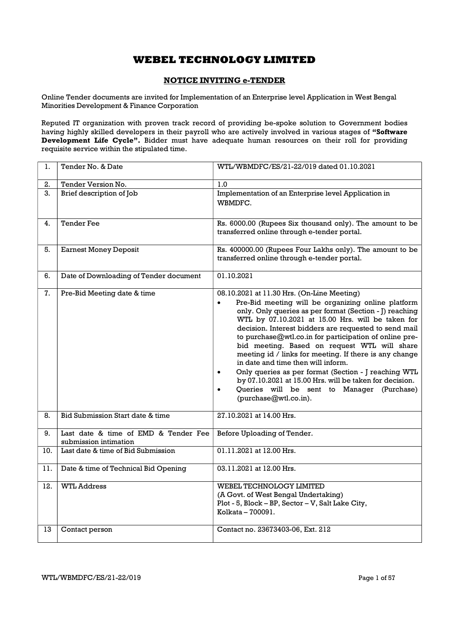## NOTICE INVITING e-TENDER

Online Tender documents are invited for Implementation of an Enterprise level Application in West Bengal Minorities Development & Finance Corporation

Reputed IT organization with proven track record of providing be-spoke solution to Government bodies having highly skilled developers in their payroll who are actively involved in various stages of "Software Development Life Cycle". Bidder must have adequate human resources on their roll for providing requisite service within the stipulated time.

| 1.  | Tender No. & Date                                             | WTL/WBMDFC/ES/21-22/019 dated 01.10.2021                                                                                                                                                                                                                                                                                                                                                                                                                                                                                                                                                                                                                                                                |
|-----|---------------------------------------------------------------|---------------------------------------------------------------------------------------------------------------------------------------------------------------------------------------------------------------------------------------------------------------------------------------------------------------------------------------------------------------------------------------------------------------------------------------------------------------------------------------------------------------------------------------------------------------------------------------------------------------------------------------------------------------------------------------------------------|
| 2.  | Tender Version No.                                            | 1.0                                                                                                                                                                                                                                                                                                                                                                                                                                                                                                                                                                                                                                                                                                     |
| 3.  | Brief description of Job                                      | Implementation of an Enterprise level Application in<br>WBMDFC.                                                                                                                                                                                                                                                                                                                                                                                                                                                                                                                                                                                                                                         |
| 4.  | <b>Tender Fee</b>                                             | Rs. 6000.00 (Rupees Six thousand only). The amount to be<br>transferred online through e-tender portal.                                                                                                                                                                                                                                                                                                                                                                                                                                                                                                                                                                                                 |
| 5.  | <b>Earnest Money Deposit</b>                                  | Rs. 400000.00 (Rupees Four Lakhs only). The amount to be<br>transferred online through e-tender portal.                                                                                                                                                                                                                                                                                                                                                                                                                                                                                                                                                                                                 |
| 6.  | Date of Downloading of Tender document                        | 01.10.2021                                                                                                                                                                                                                                                                                                                                                                                                                                                                                                                                                                                                                                                                                              |
| 7.  | Pre-Bid Meeting date & time                                   | 08.10.2021 at 11.30 Hrs. (On-Line Meeting)<br>Pre-Bid meeting will be organizing online platform<br>$\bullet$<br>only. Only queries as per format (Section - J) reaching<br>WTL by 07.10.2021 at 15.00 Hrs. will be taken for<br>decision. Interest bidders are requested to send mail<br>to purchase@wtl.co.in for participation of online pre-<br>bid meeting. Based on request WTL will share<br>meeting id / links for meeting. If there is any change<br>in date and time then will inform.<br>Only queries as per format (Section - J reaching WTL<br>$\bullet$<br>by 07.10.2021 at 15.00 Hrs. will be taken for decision.<br>Queries will be sent to Manager (Purchase)<br>(purchase@wtl.co.in). |
| 8.  | Bid Submission Start date & time                              | 27.10.2021 at 14.00 Hrs.                                                                                                                                                                                                                                                                                                                                                                                                                                                                                                                                                                                                                                                                                |
| 9.  | Last date & time of EMD & Tender Fee<br>submission intimation | Before Uploading of Tender.                                                                                                                                                                                                                                                                                                                                                                                                                                                                                                                                                                                                                                                                             |
| 10. | Last date & time of Bid Submission                            | 01.11.2021 at 12.00 Hrs.                                                                                                                                                                                                                                                                                                                                                                                                                                                                                                                                                                                                                                                                                |
| 11. | Date & time of Technical Bid Opening                          | 03.11.2021 at 12.00 Hrs.                                                                                                                                                                                                                                                                                                                                                                                                                                                                                                                                                                                                                                                                                |
| 12. | <b>WTL Address</b>                                            | <b>WEBEL TECHNOLOGY LIMITED</b><br>(A Govt. of West Bengal Undertaking)<br>Plot - 5, Block - BP, Sector - V, Salt Lake City,<br>Kolkata - 700091.                                                                                                                                                                                                                                                                                                                                                                                                                                                                                                                                                       |
| 13  | Contact person                                                | Contact no. 23673403-06, Ext. 212                                                                                                                                                                                                                                                                                                                                                                                                                                                                                                                                                                                                                                                                       |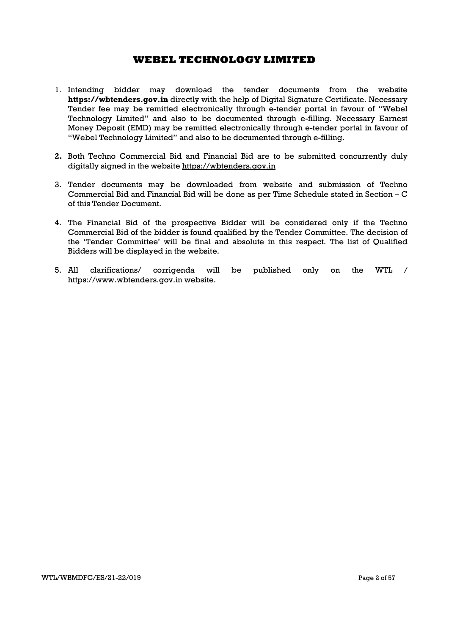- 1. Intending bidder may download the tender documents from the website https://wbtenders.gov.in directly with the help of Digital Signature Certificate. Necessary Tender fee may be remitted electronically through e-tender portal in favour of "Webel Technology Limited" and also to be documented through e-filling. Necessary Earnest Money Deposit (EMD) may be remitted electronically through e-tender portal in favour of "Webel Technology Limited" and also to be documented through e-filling.
- 2. Both Techno Commercial Bid and Financial Bid are to be submitted concurrently duly digitally signed in the website https://wbtenders.gov.in
- 3. Tender documents may be downloaded from website and submission of Techno Commercial Bid and Financial Bid will be done as per Time Schedule stated in Section – C of this Tender Document.
- 4. The Financial Bid of the prospective Bidder will be considered only if the Techno Commercial Bid of the bidder is found qualified by the Tender Committee. The decision of the 'Tender Committee' will be final and absolute in this respect. The list of Qualified Bidders will be displayed in the website.
- 5. All clarifications/ corrigenda will be published only on the WTL / https://www.wbtenders.gov.in website.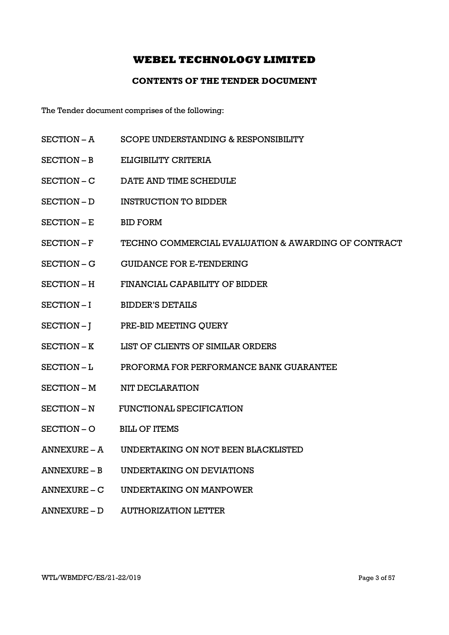## CONTENTS OF THE TENDER DOCUMENT

The Tender document comprises of the following:

- SECTION A SCOPE UNDERSTANDING & RESPONSIBILITY
- SECTION B ELIGIBILITY CRITERIA
- SECTION C DATE AND TIME SCHEDULE
- SECTION D INSTRUCTION TO BIDDER
- SECTION E BID FORM
- SECTION F TECHNO COMMERCIAL EVALUATION & AWARDING OF CONTRACT
- SECTION G GUIDANCE FOR E-TENDERING
- SECTION H FINANCIAL CAPABILITY OF BIDDER
- SECTION I BIDDER'S DETAILS
- SECTION J PRE-BID MEETING QUERY
- SECTION K LIST OF CLIENTS OF SIMILAR ORDERS
- SECTION L PROFORMA FOR PERFORMANCE BANK GUARANTEE
- SECTION M NIT DECLARATION
- SECTION N FUNCTIONAL SPECIFICATION
- SECTION O BILL OF ITEMS
- ANNEXURE A UNDERTAKING ON NOT BEEN BLACKLISTED
- ANNEXURE B UNDERTAKING ON DEVIATIONS
- ANNEXURE C UNDERTAKING ON MANPOWER
- ANNEXURE D AUTHORIZATION LETTER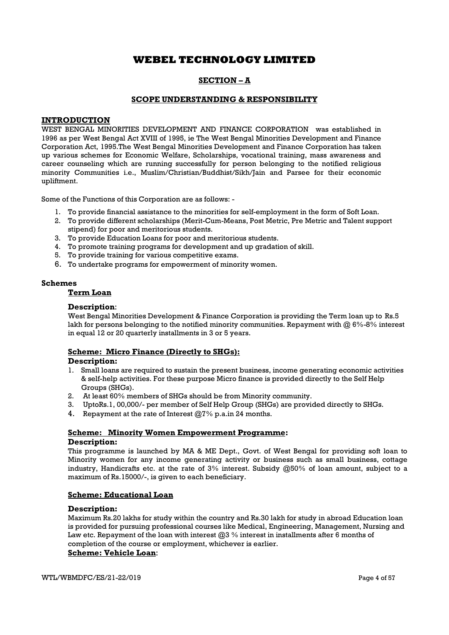## SECTION – A

### SCOPE UNDERSTANDING & RESPONSIBILITY

### **INTRODUCTION**

WEST BENGAL MINORITIES DEVELOPMENT AND FINANCE CORPORATION was established in 1996 as per West Bengal Act XVIII of 1995, ie The West Bengal Minorities Development and Finance Corporation Act, 1995.The West Bengal Minorities Development and Finance Corporation has taken up various schemes for Economic Welfare, Scholarships, vocational training, mass awareness and career counseling which are running successfully for person belonging to the notified religious minority Communities i.e., Muslim/Christian/Buddhist/Sikh/Jain and Parsee for their economic upliftment.

Some of the Functions of this Corporation are as follows: -

- 1. To provide financial assistance to the minorities for self-employment in the form of Soft Loan.
- 2. To provide different scholarships (Merit-Cum-Means, Post Metric, Pre Metric and Talent support stipend) for poor and meritorious students.
- 3. To provide Education Loans for poor and meritorious students.
- 4. To promote training programs for development and up gradation of skill.
- 5. To provide training for various competitive exams.
- 6. To undertake programs for empowerment of minority women.

### Schemes

## Term Loan

### Description:

West Bengal Minorities Development & Finance Corporation is providing the Term loan up to Rs.5 lakh for persons belonging to the notified minority communities. Repayment with @ 6%-8% interest in equal 12 or 20 quarterly installments in 3 or 5 years.

### Scheme: Micro Finance (Directly to SHGs):

### Description:

- 1. Small loans are required to sustain the present business, income generating economic activities & self-help activities. For these purpose Micro finance is provided directly to the Self Help Groups (SHGs).
- 2. At least 60% members of SHGs should be from Minority community.
- 3. UptoRs.1, 00,000/- per member of Self Help Group (SHGs) are provided directly to SHGs.
- 4. Repayment at the rate of Interest @7% p.a.in 24 months.

### Scheme: Minority Women Empowerment Programme: Description:

This programme is launched by MA & ME Dept., Govt. of West Bengal for providing soft loan to Minority women for any income generating activity or business such as small business, cottage industry, Handicrafts etc. at the rate of 3% interest. Subsidy @50% of loan amount, subject to a maximum of Rs.15000/-, is given to each beneficiary.

### Scheme: Educational Loan

### Description:

Maximum Rs.20 lakhs for study within the country and Rs.30 lakh for study in abroad Education loan is provided for pursuing professional courses like Medical, Engineering, Management, Nursing and Law etc. Repayment of the loan with interest  $@3\%$  interest in installments after 6 months of completion of the course or employment, whichever is earlier.

## Scheme: Vehicle Loan: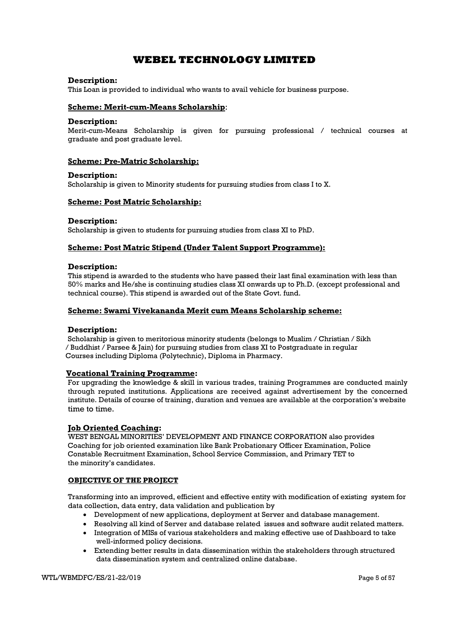### Description:

This Loan is provided to individual who wants to avail vehicle for business purpose.

### Scheme: Merit-cum-Means Scholarship:

### Description:

Merit-cum-Means Scholarship is given for pursuing professional / technical courses at graduate and post graduate level.

### Scheme: Pre-Matric Scholarship:

### Description:

Scholarship is given to Minority students for pursuing studies from class I to X.

## Scheme: Post Matric Scholarship:

### Description:

Scholarship is given to students for pursuing studies from class XI to PhD.

### Scheme: Post Matric Stipend (Under Talent Support Programme):

### Description:

This stipend is awarded to the students who have passed their last final examination with less than 50% marks and He/she is continuing studies class XI onwards up to Ph.D. (except professional and technical course). This stipend is awarded out of the State Govt. fund.

### Scheme: Swami Vivekananda Merit cum Means Scholarship scheme:

### Description:

 Scholarship is given to meritorious minority students (belongs to Muslim / Christian / Sikh / Buddhist / Parsee & Jain) for pursuing studies from class XI to Postgraduate in regular Courses including Diploma (Polytechnic), Diploma in Pharmacy.

### Vocational Training Programme:

For upgrading the knowledge & skill in various trades, training Programmes are conducted mainly through reputed institutions. Applications are received against advertisement by the concerned institute. Details of course of training, duration and venues are available at the corporation's website time to time.

### Job Oriented Coaching:

WEST BENGAL MINORITIES' DEVELOPMENT AND FINANCE CORPORATION also provides Coaching for job oriented examination like Bank Probationary Officer Examination, Police Constable Recruitment Examination, School Service Commission, and Primary TET to the minority's candidates.

### OBJECTIVE OF THE PROJECT

Transforming into an improved, efficient and effective entity with modification of existing system for data collection, data entry, data validation and publication by

- Development of new applications, deployment at Server and database management.
- Resolving all kind of Server and database related issues and software audit related matters.
- Integration of MISs of various stakeholders and making effective use of Dashboard to take well-informed policy decisions.
- Extending better results in data dissemination within the stakeholders through structured data dissemination system and centralized online database.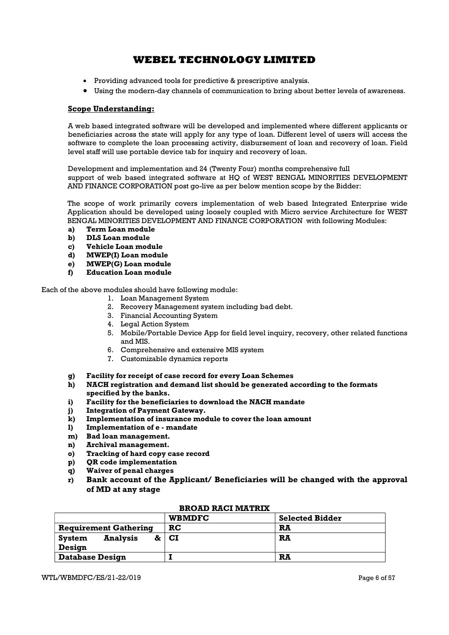- Providing advanced tools for predictive & prescriptive analysis.
- Using the modern-day channels of communication to bring about better levels of awareness.

## Scope Understanding:

A web based integrated software will be developed and implemented where different applicants or beneficiaries across the state will apply for any type of loan. Different level of users will access the software to complete the loan processing activity, disbursement of loan and recovery of loan. Field level staff will use portable device tab for inquiry and recovery of loan.

Development and implementation and 24 (Twenty Four) months comprehensive full support of web based integrated software at HQ of WEST BENGAL MINORITIES DEVELOPMENT AND FINANCE CORPORATION post go-live as per below mention scope by the Bidder:

The scope of work primarily covers implementation of web based Integrated Enterprise wide Application should be developed using loosely coupled with Micro service Architecture for WEST BENGAL MINORITIES DEVELOPMENT AND FINANCE CORPORATION with following Modules:

- a) Term Loan module
- b) DLS Loan module
- c) Vehicle Loan module
- d) MWEP(I) Loan module
- e) MWEP(G) Loan module
- f) Education Loan module

Each of the above modules should have following module:

- 1. Loan Management System
- 2. Recovery Management system including bad debt.
- 3. Financial Accounting System
- 4. Legal Action System
- 5. Mobile/Portable Device App for field level inquiry, recovery, other related functions and MIS.
- 6. Comprehensive and extensive MIS system
- 7. Customizable dynamics reports
- g) Facility for receipt of case record for every Loan Schemes
- h) NACH registration and demand list should be generated according to the formats specified by the banks.
- i) Facility for the beneficiaries to download the NACH mandate
- j) Integration of Payment Gateway.
- k) Implementation of insurance module to cover the loan amount
- l) Implementation of e mandate
- m) Bad loan management.
- n) Archival management.
- o) Tracking of hard copy case record
- p) QR code implementation
- q) Waiver of penal charges
- r) Bank account of the Applicant/ Beneficiaries will be changed with the approval of MD at any stage

|                                     | <b>WBMDFC</b> | <b>Selected Bidder</b> |
|-------------------------------------|---------------|------------------------|
| <b>Requirement Gathering</b>        | <b>RC</b>     | RA                     |
| <b>Analysis</b><br>System<br>Design | $\&$ $ CI$    | RĀ                     |
| <b>Database Design</b>              |               | RA                     |

### BROAD RACI MATRIX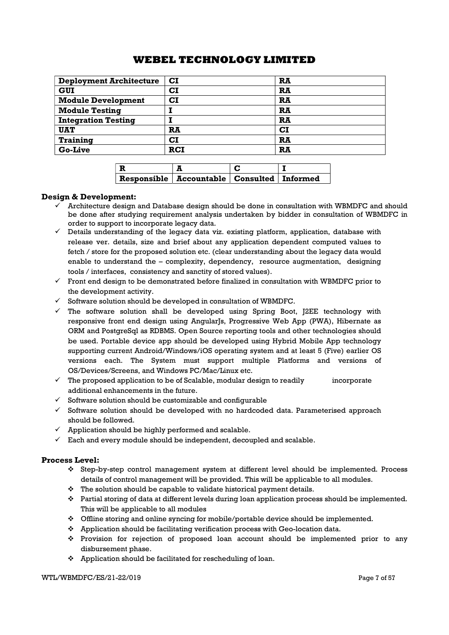| $\mathbf{C}\mathbf{I}$ | RA        |
|------------------------|-----------|
| $\mathbf{C}\mathbf{I}$ | RA        |
| CI                     | RA        |
|                        | RA        |
|                        | RA        |
| RA                     | <b>CI</b> |
| $\mathbf{C}\mathbf{I}$ | RA        |
| <b>RCI</b>             | <b>RA</b> |
|                        |           |

| Responsible   Accountable   Consulted   Informed |  |
|--------------------------------------------------|--|

## Design & Development:

- $\checkmark$  Architecture design and Database design should be done in consultation with WBMDFC and should be done after studying requirement analysis undertaken by bidder in consultation of WBMDFC in order to support to incorporate legacy data.
- $\checkmark$  Details understanding of the legacy data viz. existing platform, application, database with release ver. details, size and brief about any application dependent computed values to fetch / store for the proposed solution etc. (clear understanding about the legacy data would enable to understand the – complexity, dependency, resource augmentation, designing tools / interfaces, consistency and sanctity of stored values).
- $\checkmark$  Front end design to be demonstrated before finalized in consultation with WBMDFC prior to the development activity.
- $\checkmark$  Software solution should be developed in consultation of WBMDFC.
- $\checkmark$  The software solution shall be developed using Spring Boot, J2EE technology with responsive front end design using AngularJs, Progressive Web App (PWA), Hibernate as ORM and PostgreSql as RDBMS. Open Source reporting tools and other technologies should be used. Portable device app should be developed using Hybrid Mobile App technology supporting current Android/Windows/iOS operating system and at least 5 (Five) earlier OS versions each. The System must support multiple Platforms and versions of OS/Devices/Screens, and Windows PC/Mac/Linux etc.
- $\checkmark$  The proposed application to be of Scalable, modular design to readily incorporate additional enhancements in the future.
- $\checkmark$  Software solution should be customizable and configurable
- $\checkmark$  Software solution should be developed with no hardcoded data. Parameterised approach should be followed.
- $\checkmark$  Application should be highly performed and scalable.
- $\checkmark$  Each and every module should be independent, decoupled and scalable.

### Process Level:

- Step-by-step control management system at different level should be implemented. Process details of control management will be provided. This will be applicable to all modules.
- The solution should be capable to validate historical payment details.
- Partial storing of data at different levels during loan application process should be implemented. This will be applicable to all modules
- Offline storing and online syncing for mobile/portable device should be implemented.
- Application should be facilitating verification process with Geo-location data.
- Provision for rejection of proposed loan account should be implemented prior to any disbursement phase.
- $\triangle$  Application should be facilitated for rescheduling of loan.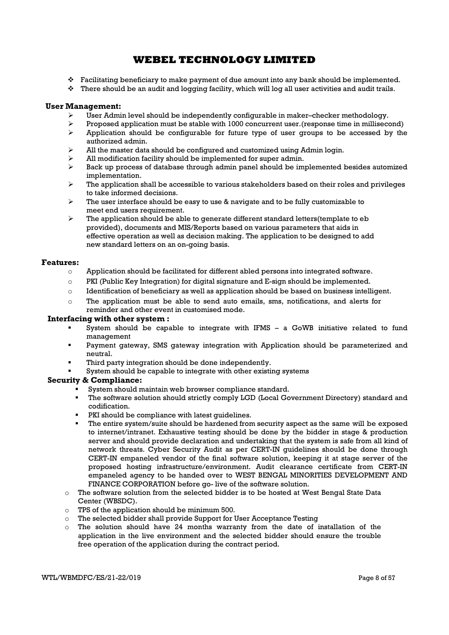- $\div$  Facilitating beneficiary to make payment of due amount into any bank should be implemented.
- $\cdot$  There should be an audit and logging facility, which will log all user activities and audit trails.

### User Management:

- $\triangleright$  User Admin level should be independently configurable in maker–checker methodology.
- $\triangleright$  Proposed application must be stable with 1000 concurrent user. (response time in millisecond)
- $\triangleright$  Application should be configurable for future type of user groups to be accessed by the authorized admin.
- $\triangleright$  All the master data should be configured and customized using Admin login.
- $\triangleright$  All modification facility should be implemented for super admin.
- $\triangleright$  Back up process of database through admin panel should be implemented besides automized implementation.
- The application shall be accessible to various stakeholders based on their roles and privileges to take informed decisions.
- The user interface should be easy to use & navigate and to be fully customizable to meet end users requirement.
- $\triangleright$  The application should be able to generate different standard letters(template to eb provided), documents and MIS/Reports based on various parameters that aids in effective operation as well as decision making. The application to be designed to add new standard letters on an on-going basis.

### Features:

- $\circ$  Application should be facilitated for different abled persons into integrated software.
- $\circ$  PKI (Public Key Integration) for digital signature and E-sign should be implemented.
- o Identification of beneficiary as well as application should be based on business intelligent.
- o The application must be able to send auto emails, sms, notifications, and alerts for reminder and other event in customised mode.

### Interfacing with other system :

- System should be capable to integrate with IFMS a GoWB initiative related to fund management
- Payment gateway, SMS gateway integration with Application should be parameterized and neutral.
- Third party integration should be done independently.
- System should be capable to integrate with other existing systems

### Security & Compliance:

- System should maintain web browser compliance standard.
- The software solution should strictly comply LGD (Local Government Directory) standard and codification.
- PKI should be compliance with latest guidelines.
- The entire system/suite should be hardened from security aspect as the same will be exposed to internet/intranet. Exhaustive testing should be done by the bidder in stage & production server and should provide declaration and undertaking that the system is safe from all kind of network threats. Cyber Security Audit as per CERT-IN guidelines should be done through CERT-IN empaneled vendor of the final software solution, keeping it at stage server of the proposed hosting infrastructure/environment. Audit clearance certificate from CERT-IN empaneled agency to be handed over to WEST BENGAL MINORITIES DEVELOPMENT AND FINANCE CORPORATION before go- live of the software solution.
- $\circ$  The software solution from the selected bidder is to be hosted at West Bengal State Data Center (WBSDC).
- o TPS of the application should be minimum 500.
- $\circ$  The selected bidder shall provide Support for User Acceptance Testing
- $\circ$  The solution should have 24 months warranty from the date of installation of the application in the live environment and the selected bidder should ensure the trouble free operation of the application during the contract period.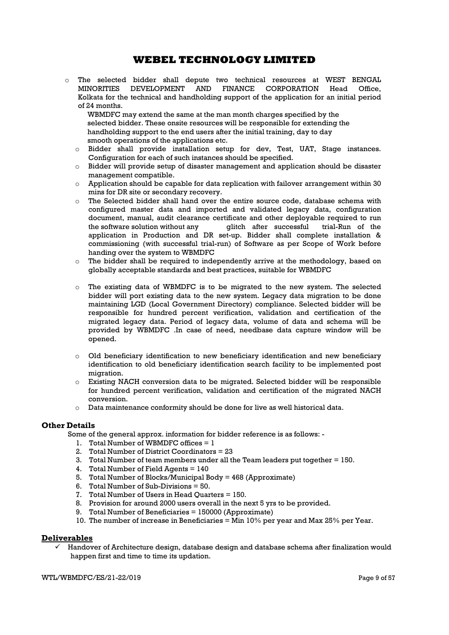o The selected bidder shall depute two technical resources at WEST BENGAL MINORITIES DEVELOPMENT AND FINANCE CORPORATION Head Office, Kolkata for the technical and handholding support of the application for an initial period of 24 months.

 WBMDFC may extend the same at the man month charges specified by the selected bidder. These onsite resources will be responsible for extending the handholding support to the end users after the initial training, day to day smooth operations of the applications etc.

- o Bidder shall provide installation setup for dev, Test, UAT, Stage instances. Configuration for each of such instances should be specified.
- o Bidder will provide setup of disaster management and application should be disaster management compatible.
- $\circ$  Application should be capable for data replication with failover arrangement within 30 mins for DR site or secondary recovery.
- $\circ$  The Selected bidder shall hand over the entire source code, database schema with configured master data and imported and validated legacy data, configuration document, manual, audit clearance certificate and other deployable required to run<br>the software solution without any directed after successful trial-Run of the the software solution without any glitch after successful trial-Run of the application in Production and DR set-up. Bidder shall complete installation & commissioning (with successful trial-run) of Software as per Scope of Work before handing over the system to WBMDFC
- $\circ$  The bidder shall be required to independently arrive at the methodology, based on globally acceptable standards and best practices, suitable for WBMDFC
- o The existing data of WBMDFC is to be migrated to the new system. The selected bidder will port existing data to the new system. Legacy data migration to be done maintaining LGD (Local Government Directory) compliance. Selected bidder will be responsible for hundred percent verification, validation and certification of the migrated legacy data. Period of legacy data, volume of data and schema will be provided by WBMDFC .In case of need, needbase data capture window will be opened.
- $\circ$  Old beneficiary identification to new beneficiary identification and new beneficiary identification to old beneficiary identification search facility to be implemented post migration.
- o Existing NACH conversion data to be migrated. Selected bidder will be responsible for hundred percent verification, validation and certification of the migrated NACH conversion.
- o Data maintenance conformity should be done for live as well historical data.

## Other Details

Some of the general approx. information for bidder reference is as follows: -

- 1. Total Number of WBMDFC offices  $= 1$
- 2. Total Number of District Coordinators = 23
- 3. Total Number of team members under all the Team leaders put together = 150.
- 4. Total Number of Field Agents = 140
- 5. Total Number of Blocks/Municipal Body = 468 (Approximate)
- 6. Total Number of Sub-Divisions = 50.
- 7. Total Number of Users in Head Quarters = 150.
- 8. Provision for around 2000 users overall in the next 5 yrs to be provided.
- 9. Total Number of Beneficiaries = 150000 (Approximate)
- 10. The number of increase in Beneficiaries = Min 10% per year and Max 25% per Year.

### **Deliverables**

 $\checkmark$  Handover of Architecture design, database design and database schema after finalization would happen first and time to time its updation.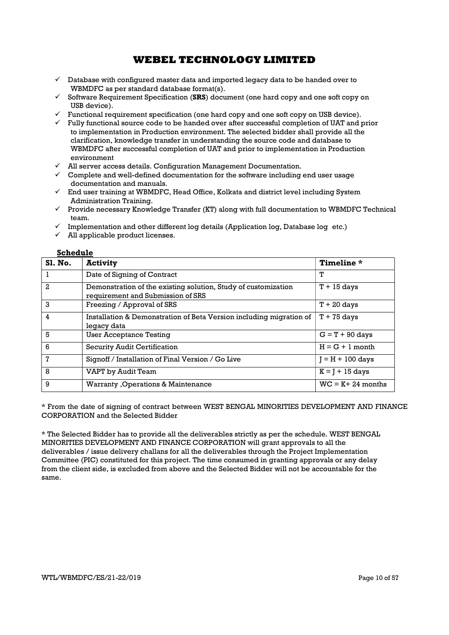- $\checkmark$  Database with configured master data and imported legacy data to be handed over to WBMDFC as per standard database format(s).
- $\checkmark$  Software Requirement Specification (SRS) document (one hard copy and one soft copy on USB device).
- $\checkmark$  Functional requirement specification (one hard copy and one soft copy on USB device).
- $\checkmark$  Fully functional source code to be handed over after successful completion of UAT and prior to implementation in Production environment. The selected bidder shall provide all the clarification, knowledge transfer in understanding the source code and database to WBMDFC after successful completion of UAT and prior to implementation in Production environment
- $\checkmark$  All server access details. Configuration Management Documentation.
- $\checkmark$  Complete and well-defined documentation for the software including end user usage documentation and manuals.
- $\checkmark$  End user training at WBMDFC, Head Office, Kolkata and district level including System Administration Training.
- $\checkmark$  Provide necessary Knowledge Transfer (KT) along with full documentation to WBMDFC Technical team.
- $\checkmark$  Implementation and other different log details (Application log, Database log etc.)
- $\overline{\smash{\big)}\,}$  All applicable product licenses.

### Schedule

| <b>S1. No.</b> | <b>Activity</b>                                                                                     | Timeline *           |
|----------------|-----------------------------------------------------------------------------------------------------|----------------------|
|                | Date of Signing of Contract                                                                         | т                    |
| 2              | Demonstration of the existing solution, Study of customization<br>requirement and Submission of SRS | $T + 15$ days        |
| 3              | Freezing / Approval of SRS                                                                          | $T + 20$ days        |
| 4              | Installation & Demonstration of Beta Version including migration of<br>legacy data                  | $T + 75$ days        |
| 5              | User Acceptance Testing                                                                             | $G = T + 90$ days    |
| 6              | Security Audit Certification                                                                        | $H = G + 1$ month    |
| 7              | Signoff / Installation of Final Version / Go Live                                                   | $I = H + 100$ days   |
| 8              | VAPT by Audit Team                                                                                  | $K = 1 + 15$ days    |
| 9              | Warranty, Operations & Maintenance                                                                  | $WC = K + 24$ months |

\* From the date of signing of contract between WEST BENGAL MINORITIES DEVELOPMENT AND FINANCE CORPORATION and the Selected Bidder

\* The Selected Bidder has to provide all the deliverables strictly as per the schedule. WEST BENGAL MINORITIES DEVELOPMENT AND FINANCE CORPORATION will grant approvals to all the deliverables / issue delivery challans for all the deliverables through the Project Implementation Committee (PIC) constituted for this project. The time consumed in granting approvals or any delay from the client side, is excluded from above and the Selected Bidder will not be accountable for the same.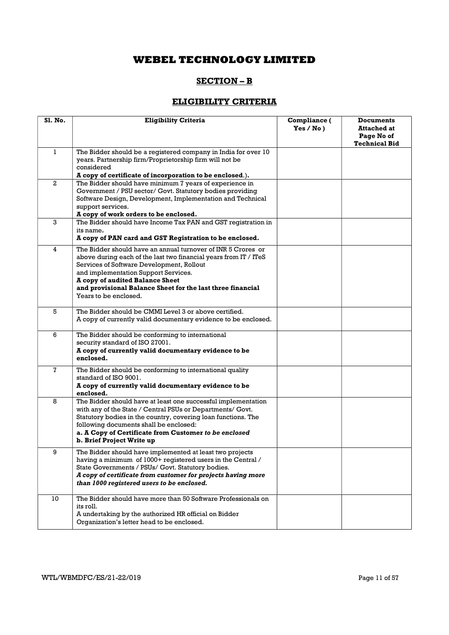# SECTION – B

# ELIGIBILITY CRITERIA

| Sl. No.      | <b>Eligibility Criteria</b>                                                                                                                                                                                                                                                                                                                     | Compliance (<br>Yes / No) | <b>Documents</b><br><b>Attached at</b><br>Page No of<br><b>Technical Bid</b> |
|--------------|-------------------------------------------------------------------------------------------------------------------------------------------------------------------------------------------------------------------------------------------------------------------------------------------------------------------------------------------------|---------------------------|------------------------------------------------------------------------------|
| $\mathbf{1}$ | The Bidder should be a registered company in India for over 10<br>years. Partnership firm/Proprietorship firm will not be<br>considered<br>A copy of certificate of incorporation to be enclosed.).                                                                                                                                             |                           |                                                                              |
| $\mathbf{2}$ | The Bidder should have minimum 7 years of experience in<br>Government / PSU sector/ Govt. Statutory bodies providing<br>Software Design, Development, Implementation and Technical<br>support services.<br>A copy of work orders to be enclosed.                                                                                                |                           |                                                                              |
| 3            | The Bidder should have Income Tax PAN and GST registration in<br>its name.<br>A copy of PAN card and GST Registration to be enclosed.                                                                                                                                                                                                           |                           |                                                                              |
| 4            | The Bidder should have an annual turnover of INR 5 Crores or<br>above during each of the last two financial years from IT / ITeS<br>Services of Software Development, Rollout<br>and implementation Support Services.<br>A copy of audited Balance Sheet<br>and provisional Balance Sheet for the last three financial<br>Years to be enclosed. |                           |                                                                              |
| 5            | The Bidder should be CMMI Level 3 or above certified.<br>A copy of currently valid documentary evidence to be enclosed.                                                                                                                                                                                                                         |                           |                                                                              |
| 6            | The Bidder should be conforming to international<br>security standard of ISO 27001.<br>A copy of currently valid documentary evidence to be<br>enclosed.                                                                                                                                                                                        |                           |                                                                              |
| 7            | The Bidder should be conforming to international quality<br>standard of ISO 9001.<br>A copy of currently valid documentary evidence to be<br>enclosed.                                                                                                                                                                                          |                           |                                                                              |
| 8            | The Bidder should have at least one successful implementation<br>with any of the State / Central PSUs or Departments/ Govt.<br>Statutory bodies in the country, covering loan functions. The<br>following documents shall be enclosed:<br>a. A Copy of Certificate from Customer to be enclosed<br>b. Brief Project Write up                    |                           |                                                                              |
| 9            | The Bidder should have implemented at least two projects<br>having a minimum of 1000+ registered users in the Central /<br>State Governments / PSUs/ Govt. Statutory bodies.<br>A copy of certificate from customer for projects having more<br>than 1000 registered users to be enclosed.                                                      |                           |                                                                              |
| 10           | The Bidder should have more than 50 Software Professionals on<br>its roll.<br>A undertaking by the authorized HR official on Bidder<br>Organization's letter head to be enclosed.                                                                                                                                                               |                           |                                                                              |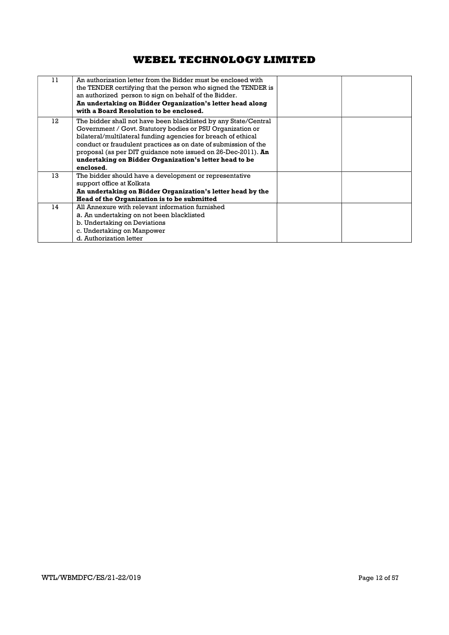| 11 | An authorization letter from the Bidder must be enclosed with<br>the TENDER certifying that the person who signed the TENDER is<br>an authorized person to sign on behalf of the Bidder.<br>An undertaking on Bidder Organization's letter head along<br>with a Board Resolution to be enclosed.                                                                                                          |  |
|----|-----------------------------------------------------------------------------------------------------------------------------------------------------------------------------------------------------------------------------------------------------------------------------------------------------------------------------------------------------------------------------------------------------------|--|
| 12 | The bidder shall not have been blacklisted by any State/Central<br>Government / Govt. Statutory bodies or PSU Organization or<br>bilateral/multilateral funding agencies for breach of ethical<br>conduct or fraudulent practices as on date of submission of the<br>proposal (as per DIT guidance note issued on 26-Dec-2011). An<br>undertaking on Bidder Organization's letter head to be<br>enclosed. |  |
| 13 | The bidder should have a development or representative<br>support office at Kolkata<br>An undertaking on Bidder Organization's letter head by the<br>Head of the Organization is to be submitted                                                                                                                                                                                                          |  |
| 14 | All Annexure with relevant information furnished<br>a. An undertaking on not been blacklisted<br>b. Undertaking on Deviations<br>c. Undertaking on Manpower<br>d. Authorization letter                                                                                                                                                                                                                    |  |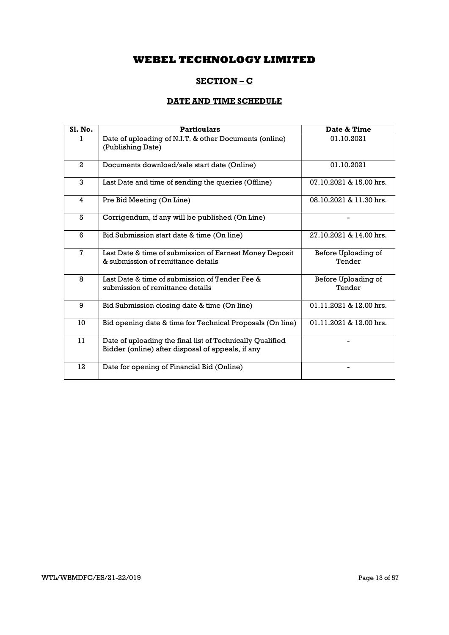# SECTION – C

## DATE AND TIME SCHEDULE

| <b>S1. No.</b> | <b>Particulars</b>                                                                                             | Date & Time                   |
|----------------|----------------------------------------------------------------------------------------------------------------|-------------------------------|
|                | Date of uploading of N.I.T. & other Documents (online)<br>(Publishing Date)                                    | 01.10.2021                    |
| $\mathbf{2}$   | Documents download/sale start date (Online)                                                                    | 01.10.2021                    |
| 3              | Last Date and time of sending the queries (Offline)                                                            | 07.10.2021 & 15.00 hrs.       |
| 4              | Pre Bid Meeting (On Line)                                                                                      | 08.10.2021 & 11.30 hrs.       |
| 5              | Corrigendum, if any will be published (On Line)                                                                |                               |
| 6              | Bid Submission start date & time (On line)                                                                     | 27.10.2021 & 14.00 hrs.       |
| $\mathbf 7$    | Last Date & time of submission of Earnest Money Deposit<br>& submission of remittance details                  | Before Uploading of<br>Tender |
| 8              | Last Date & time of submission of Tender Fee &<br>submission of remittance details                             | Before Uploading of<br>Tender |
| 9              | Bid Submission closing date & time (On line)                                                                   | 01.11.2021 & 12.00 hrs.       |
| 10             | Bid opening date & time for Technical Proposals (On line)                                                      | 01.11.2021 & 12.00 hrs.       |
| 11             | Date of uploading the final list of Technically Qualified<br>Bidder (online) after disposal of appeals, if any |                               |
| 12             | Date for opening of Financial Bid (Online)                                                                     |                               |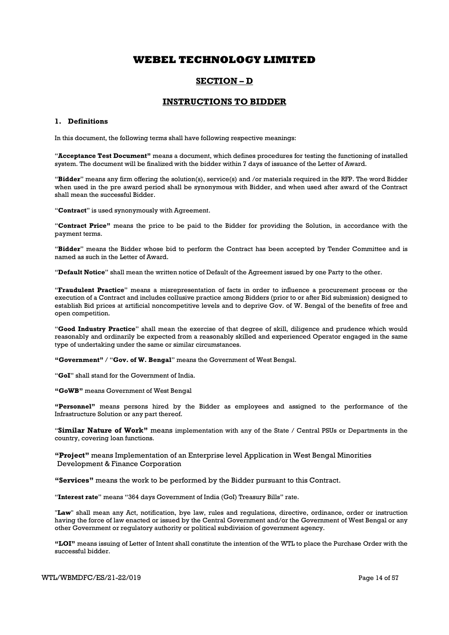## SECTION – D

### INSTRUCTIONS TO BIDDER

### 1. Definitions

In this document, the following terms shall have following respective meanings:

"Acceptance Test Document" means a document, which defines procedures for testing the functioning of installed system. The document will be finalized with the bidder within 7 days of issuance of the Letter of Award.

"Bidder" means any firm offering the solution(s), service(s) and /or materials required in the RFP. The word Bidder when used in the pre award period shall be synonymous with Bidder, and when used after award of the Contract shall mean the successful Bidder.

"Contract" is used synonymously with Agreement.

"Contract Price" means the price to be paid to the Bidder for providing the Solution, in accordance with the payment terms.

"Bidder" means the Bidder whose bid to perform the Contract has been accepted by Tender Committee and is named as such in the Letter of Award.

"Default Notice" shall mean the written notice of Default of the Agreement issued by one Party to the other.

"Fraudulent Practice" means a misrepresentation of facts in order to influence a procurement process or the execution of a Contract and includes collusive practice among Bidders (prior to or after Bid submission) designed to establish Bid prices at artificial noncompetitive levels and to deprive Gov. of W. Bengal of the benefits of free and open competition.

"Good Industry Practice" shall mean the exercise of that degree of skill, diligence and prudence which would reasonably and ordinarily be expected from a reasonably skilled and experienced Operator engaged in the same type of undertaking under the same or similar circumstances.

"Government" / "Gov. of W. Bengal" means the Government of West Bengal.

"GoI" shall stand for the Government of India.

"GoWB" means Government of West Bengal

"Personnel" means persons hired by the Bidder as employees and assigned to the performance of the Infrastructure Solution or any part thereof.

"Similar Nature of Work" means implementation with any of the State / Central PSUs or Departments in the country, covering loan functions.

"Project" means Implementation of an Enterprise level Application in West Bengal Minorities Development & Finance Corporation

"Services" means the work to be performed by the Bidder pursuant to this Contract.

"Interest rate" means "364 days Government of India (GoI) Treasury Bills" rate.

"Law" shall mean any Act, notification, bye law, rules and regulations, directive, ordinance, order or instruction having the force of law enacted or issued by the Central Government and/or the Government of West Bengal or any other Government or regulatory authority or political subdivision of government agency.

"LOI" means issuing of Letter of Intent shall constitute the intention of the WTL to place the Purchase Order with the successful bidder.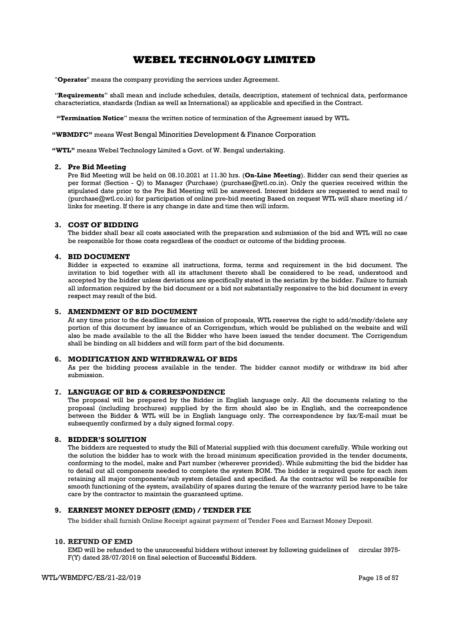"**Operator**" means the company providing the services under Agreement.

"Requirements" shall mean and include schedules, details, description, statement of technical data, performance characteristics, standards (Indian as well as International) as applicable and specified in the Contract.

"Termination Notice" means the written notice of termination of the Agreement issued by WTL.

"WBMDFC" means West Bengal Minorities Development & Finance Corporation

"WTL" means Webel Technology Limited a Govt. of W. Bengal undertaking.

#### 2. Pre Bid Meeting

Pre Bid Meeting will be held on 08.10.2021 at 11.30 hrs. (On-Line Meeting). Bidder can send their queries as per format (Section - Q) to Manager (Purchase) (purchase@wtl.co.in). Only the queries received within the stipulated date prior to the Pre Bid Meeting will be answered. Interest bidders are requested to send mail to (purchase@wtl.co.in) for participation of online pre-bid meeting Based on request WTL will share meeting id / links for meeting. If there is any change in date and time then will inform.

#### 3. COST OF BIDDING

The bidder shall bear all costs associated with the preparation and submission of the bid and WTL will no case be responsible for those costs regardless of the conduct or outcome of the bidding process.

#### 4. BID DOCUMENT

Bidder is expected to examine all instructions, forms, terms and requirement in the bid document. The invitation to bid together with all its attachment thereto shall be considered to be read, understood and accepted by the bidder unless deviations are specifically stated in the seriatim by the bidder. Failure to furnish all information required by the bid document or a bid not substantially responsive to the bid document in every respect may result of the bid.

#### 5. AMENDMENT OF BID DOCUMENT

At any time prior to the deadline for submission of proposals, WTL reserves the right to add/modify/delete any portion of this document by issuance of an Corrigendum, which would be published on the website and will also be made available to the all the Bidder who have been issued the tender document. The Corrigendum shall be binding on all bidders and will form part of the bid documents.

#### 6. MODIFICATION AND WITHDRAWAL OF BIDS

As per the bidding process available in the tender. The bidder cannot modify or withdraw its bid after submission.

#### 7. LANGUAGE OF BID & CORRESPONDENCE

The proposal will be prepared by the Bidder in English language only. All the documents relating to the proposal (including brochures) supplied by the firm should also be in English, and the correspondence between the Bidder & WTL will be in English language only. The correspondence by fax/E-mail must be subsequently confirmed by a duly signed formal copy.

#### 8. BIDDER'S SOLUTION

The bidders are requested to study the Bill of Material supplied with this document carefully. While working out the solution the bidder has to work with the broad minimum specification provided in the tender documents, conforming to the model, make and Part number (wherever provided). While submitting the bid the bidder has to detail out all components needed to complete the system BOM. The bidder is required quote for each item retaining all major components/sub system detailed and specified. As the contractor will be responsible for smooth functioning of the system, availability of spares during the tenure of the warranty period have to be take care by the contractor to maintain the guaranteed uptime.

#### 9. EARNEST MONEY DEPOSIT (EMD) / TENDER FEE

The bidder shall furnish Online Receipt against payment of Tender Fees and Earnest Money Deposit.

#### 10. REFUND OF EMD

EMD will be refunded to the unsuccessful bidders without interest by following guidelines of circular 3975- F(Y) dated 28/07/2016 on final selection of Successful Bidders.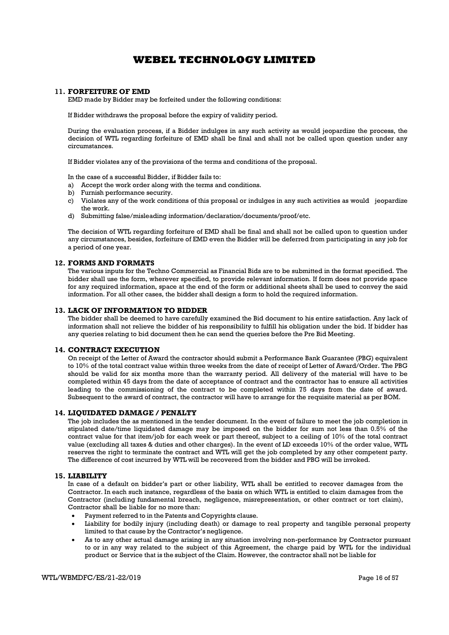### 11. FORFEITURE OF EMD

EMD made by Bidder may be forfeited under the following conditions:

If Bidder withdraws the proposal before the expiry of validity period.

During the evaluation process, if a Bidder indulges in any such activity as would jeopardize the process, the decision of WTL regarding forfeiture of EMD shall be final and shall not be called upon question under any circumstances.

If Bidder violates any of the provisions of the terms and conditions of the proposal.

In the case of a successful Bidder, if Bidder fails to:

- a) Accept the work order along with the terms and conditions.
- b) Furnish performance security.
- c) Violates any of the work conditions of this proposal or indulges in any such activities as would jeopardize the work.
- d) Submitting false/misleading information/declaration/documents/proof/etc.

The decision of WTL regarding forfeiture of EMD shall be final and shall not be called upon to question under any circumstances, besides, forfeiture of EMD even the Bidder will be deferred from participating in any job for a period of one year.

#### 12. FORMS AND FORMATS

The various inputs for the Techno Commercial as Financial Bids are to be submitted in the format specified. The bidder shall use the form, wherever specified, to provide relevant information. If form does not provide space for any required information, space at the end of the form or additional sheets shall be used to convey the said information. For all other cases, the bidder shall design a form to hold the required information.

#### 13. LACK OF INFORMATION TO BIDDER

The bidder shall be deemed to have carefully examined the Bid document to his entire satisfaction. Any lack of information shall not relieve the bidder of his responsibility to fulfill his obligation under the bid. If bidder has any queries relating to bid document then he can send the queries before the Pre Bid Meeting.

### 14. CONTRACT EXECUTION

On receipt of the Letter of Award the contractor should submit a Performance Bank Guarantee (PBG) equivalent to 10% of the total contract value within three weeks from the date of receipt of Letter of Award/Order. The PBG should be valid for six months more than the warranty period. All delivery of the material will have to be completed within 45 days from the date of acceptance of contract and the contractor has to ensure all activities leading to the commissioning of the contract to be completed within 75 days from the date of award. Subsequent to the award of contract, the contractor will have to arrange for the requisite material as per BOM.

### 14. LIQUIDATED DAMAGE / PENALTY

The job includes the as mentioned in the tender document. In the event of failure to meet the job completion in stipulated date/time liquidated damage may be imposed on the bidder for sum not less than 0.5% of the contract value for that item/job for each week or part thereof, subject to a ceiling of 10% of the total contract value (excluding all taxes & duties and other charges). In the event of LD exceeds 10% of the order value, WTL reserves the right to terminate the contract and WTL will get the job completed by any other competent party. The difference of cost incurred by WTL will be recovered from the bidder and PBG will be invoked.

#### 15. LIABILITY

In case of a default on bidder's part or other liability, WTL shall be entitled to recover damages from the Contractor. In each such instance, regardless of the basis on which WTL is entitled to claim damages from the Contractor (including fundamental breach, negligence, misrepresentation, or other contract or tort claim), Contractor shall be liable for no more than:

- Payment referred to in the Patents and Copyrights clause.
- Liability for bodily injury (including death) or damage to real property and tangible personal property limited to that cause by the Contractor's negligence.
- As to any other actual damage arising in any situation involving non-performance by Contractor pursuant to or in any way related to the subject of this Agreement, the charge paid by WTL for the individual product or Service that is the subject of the Claim. However, the contractor shall not be liable for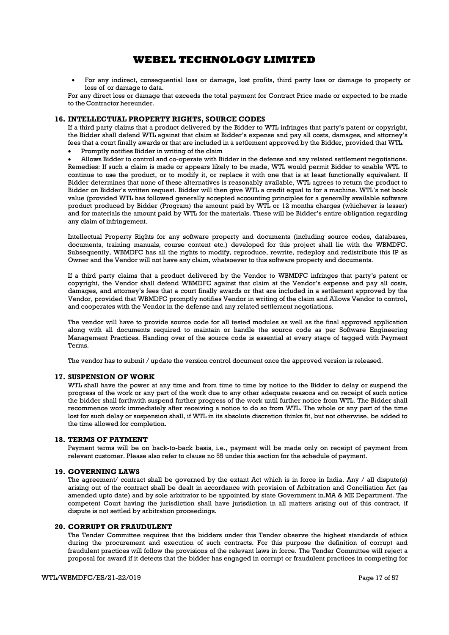For any indirect, consequential loss or damage, lost profits, third party loss or damage to property or loss of or damage to data.

For any direct loss or damage that exceeds the total payment for Contract Price made or expected to be made to the Contractor hereunder.

#### 16. INTELLECTUAL PROPERTY RIGHTS, SOURCE CODES

If a third party claims that a product delivered by the Bidder to WTL infringes that party's patent or copyright, the Bidder shall defend WTL against that claim at Bidder's expense and pay all costs, damages, and attorney's fees that a court finally awards or that are included in a settlement approved by the Bidder, provided that WTL.

Promptly notifies Bidder in writing of the claim

 Allows Bidder to control and co-operate with Bidder in the defense and any related settlement negotiations. Remedies: If such a claim is made or appears likely to be made, WTL would permit Bidder to enable WTL to continue to use the product, or to modify it, or replace it with one that is at least functionally equivalent. If Bidder determines that none of these alternatives is reasonably available, WTL agrees to return the product to Bidder on Bidder's written request. Bidder will then give WTL a credit equal to for a machine. WTL's net book value (provided WTL has followed generally accepted accounting principles for a generally available software product produced by Bidder (Program) the amount paid by WTL or 12 months charges (whichever is lesser) and for materials the amount paid by WTL for the materials. These will be Bidder's entire obligation regarding any claim of infringement.

Intellectual Property Rights for any software property and documents (including source codes, databases, documents, training manuals, course content etc.) developed for this project shall lie with the WBMDFC. Subsequently, WBMDFC has all the rights to modify, reproduce, rewrite, redeploy and redistribute this IP as Owner and the Vendor will not have any claim, whatsoever to this software property and documents.

If a third party claims that a product delivered by the Vendor to WBMDFC infringes that party's patent or copyright, the Vendor shall defend WBMDFC against that claim at the Vendor's expense and pay all costs, damages, and attorney's fees that a court finally awards or that are included in a settlement approved by the Vendor, provided that WBMDFC promptly notifies Vendor in writing of the claim and Allows Vendor to control, and cooperates with the Vendor in the defense and any related settlement negotiations.

The vendor will have to provide source code for all tested modules as well as the final approved application along with all documents required to maintain or handle the source code as per Software Engineering Management Practices. Handing over of the source code is essential at every stage of tagged with Payment Terms.

The vendor has to submit / update the version control document once the approved version is released.

### 17. SUSPENSION OF WORK

WTL shall have the power at any time and from time to time by notice to the Bidder to delay or suspend the progress of the work or any part of the work due to any other adequate reasons and on receipt of such notice the bidder shall forthwith suspend further progress of the work until further notice from WTL. The Bidder shall recommence work immediately after receiving a notice to do so from WTL. The whole or any part of the time lost for such delay or suspension shall, if WTL in its absolute discretion thinks fit, but not otherwise, be added to the time allowed for completion.

#### 18. TERMS OF PAYMENT

Payment terms will be on back-to-back basis, i.e., payment will be made only on receipt of payment from relevant customer. Please also refer to clause no 55 under this section for the schedule of payment.

#### 19. GOVERNING LAWS

The agreement/ contract shall be governed by the extant Act which is in force in India. Any / all dispute(s) arising out of the contract shall be dealt in accordance with provision of Arbitration and Conciliation Act (as amended upto date) and by sole arbitrator to be appointed by state Government in.MA & ME Department. The competent Court having the jurisdiction shall have jurisdiction in all matters arising out of this contract, if dispute is not settled by arbitration proceedings.

#### 20. CORRUPT OR FRAUDULENT

The Tender Committee requires that the bidders under this Tender observe the highest standards of ethics during the procurement and execution of such contracts. For this purpose the definition of corrupt and fraudulent practices will follow the provisions of the relevant laws in force. The Tender Committee will reject a proposal for award if it detects that the bidder has engaged in corrupt or fraudulent practices in competing for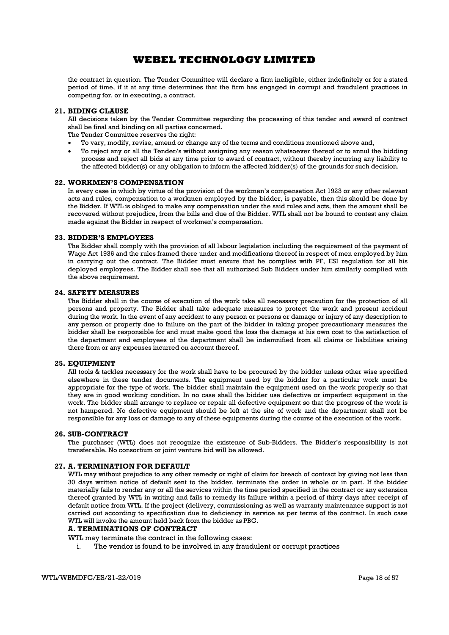the contract in question. The Tender Committee will declare a firm ineligible, either indefinitely or for a stated period of time, if it at any time determines that the firm has engaged in corrupt and fraudulent practices in competing for, or in executing, a contract.

#### 21. BIDING CLAUSE

All decisions taken by the Tender Committee regarding the processing of this tender and award of contract shall be final and binding on all parties concerned.

The Tender Committee reserves the right:

- To vary, modify, revise, amend or change any of the terms and conditions mentioned above and,
- To reject any or all the Tender/s without assigning any reason whatsoever thereof or to annul the bidding process and reject all bids at any time prior to award of contract, without thereby incurring any liability to the affected bidder(s) or any obligation to inform the affected bidder(s) of the grounds for such decision.

#### 22. WORKMEN'S COMPENSATION

In every case in which by virtue of the provision of the workmen's compensation Act 1923 or any other relevant acts and rules, compensation to a workmen employed by the bidder, is payable, then this should be done by the Bidder. If WTL is obliged to make any compensation under the said rules and acts, then the amount shall be recovered without prejudice, from the bills and due of the Bidder. WTL shall not be bound to contest any claim made against the Bidder in respect of workmen's compensation.

#### 23. BIDDER'S EMPLOYEES

The Bidder shall comply with the provision of all labour legislation including the requirement of the payment of Wage Act 1936 and the rules framed there under and modifications thereof in respect of men employed by him in carrying out the contract. The Bidder must ensure that he complies with PF, ESI regulation for all his deployed employees. The Bidder shall see that all authorized Sub Bidders under him similarly complied with the above requirement.

#### 24. SAFETY MEASURES

The Bidder shall in the course of execution of the work take all necessary precaution for the protection of all persons and property. The Bidder shall take adequate measures to protect the work and present accident during the work. In the event of any accident to any person or persons or damage or injury of any description to any person or property due to failure on the part of the bidder in taking proper precautionary measures the bidder shall be responsible for and must make good the loss the damage at his own cost to the satisfaction of the department and employees of the department shall be indemnified from all claims or liabilities arising there from or any expenses incurred on account thereof.

### 25. EQUIPMENT

All tools & tackles necessary for the work shall have to be procured by the bidder unless other wise specified elsewhere in these tender documents. The equipment used by the bidder for a particular work must be appropriate for the type of work. The bidder shall maintain the equipment used on the work properly so that they are in good working condition. In no case shall the bidder use defective or imperfect equipment in the work. The bidder shall arrange to replace or repair all defective equipment so that the progress of the work is not hampered. No defective equipment should be left at the site of work and the department shall not be responsible for any loss or damage to any of these equipments during the course of the execution of the work.

#### 26. SUB-CONTRACT

The purchaser (WTL) does not recognize the existence of Sub-Bidders. The Bidder's responsibility is not transferable. No consortium or joint venture bid will be allowed.

### 27. A. TERMINATION FOR DEFAULT

WTL may without prejudice to any other remedy or right of claim for breach of contract by giving not less than 30 days written notice of default sent to the bidder, terminate the order in whole or in part. If the bidder materially fails to render any or all the services within the time period specified in the contract or any extension thereof granted by WTL in writing and fails to remedy its failure within a period of thirty days after receipt of default notice from WTL. If the project (delivery, commissioning as well as warranty maintenance support is not carried out according to specification due to deficiency in service as per terms of the contract. In such case WTL will invoke the amount held back from the bidder as PBG.

### A. TERMINATIONS OF CONTRACT

WTL may terminate the contract in the following cases:

i. The vendor is found to be involved in any fraudulent or corrupt practices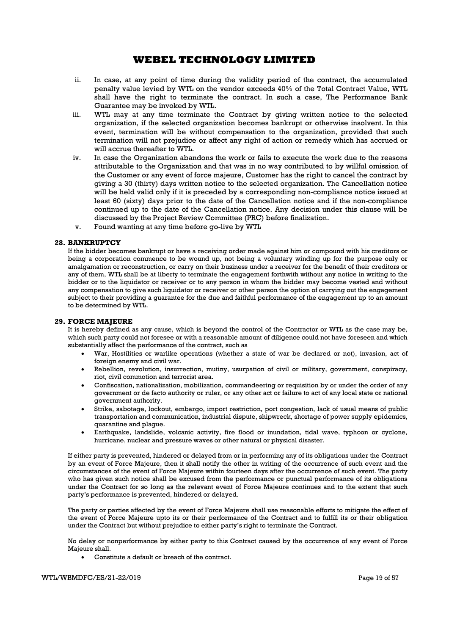- ii. In case, at any point of time during the validity period of the contract, the accumulated penalty value levied by WTL on the vendor exceeds 40% of the Total Contract Value, WTL shall have the right to terminate the contract. In such a case, The Performance Bank Guarantee may be invoked by WTL.
- iii. WTL may at any time terminate the Contract by giving written notice to the selected organization, if the selected organization becomes bankrupt or otherwise insolvent. In this event, termination will be without compensation to the organization, provided that such termination will not prejudice or affect any right of action or remedy which has accrued or will accrue thereafter to WTL.
- iv. In case the Organization abandons the work or fails to execute the work due to the reasons attributable to the Organization and that was in no way contributed to by willful omission of the Customer or any event of force majeure, Customer has the right to cancel the contract by giving a 30 (thirty) days written notice to the selected organization. The Cancellation notice will be held valid only if it is preceded by a corresponding non-compliance notice issued at least 60 (sixty) days prior to the date of the Cancellation notice and if the non-compliance continued up to the date of the Cancellation notice. Any decision under this clause will be discussed by the Project Review Committee (PRC) before finalization.
- v. Found wanting at any time before go-live by WTL

### 28. BANKRUPTCY

If the bidder becomes bankrupt or have a receiving order made against him or compound with his creditors or being a corporation commence to be wound up, not being a voluntary winding up for the purpose only or amalgamation or reconstruction, or carry on their business under a receiver for the benefit of their creditors or any of them, WTL shall be at liberty to terminate the engagement forthwith without any notice in writing to the bidder or to the liquidator or receiver or to any person in whom the bidder may become vested and without any compensation to give such liquidator or receiver or other person the option of carrying out the engagement subject to their providing a guarantee for the due and faithful performance of the engagement up to an amount to be determined by WTL.

### 29. FORCE MAJEURE

It is hereby defined as any cause, which is beyond the control of the Contractor or WTL as the case may be, which such party could not foresee or with a reasonable amount of diligence could not have foreseen and which substantially affect the performance of the contract, such as

- War, Hostilities or warlike operations (whether a state of war be declared or not), invasion, act of foreign enemy and civil war.
- Rebellion, revolution, insurrection, mutiny, usurpation of civil or military, government, conspiracy, riot, civil commotion and terrorist area.
- Confiscation, nationalization, mobilization, commandeering or requisition by or under the order of any government or de facto authority or ruler, or any other act or failure to act of any local state or national government authority.
- Strike, sabotage, lockout, embargo, import restriction, port congestion, lack of usual means of public transportation and communication, industrial dispute, shipwreck, shortage of power supply epidemics, quarantine and plague.
- Earthquake, landslide, volcanic activity, fire flood or inundation, tidal wave, typhoon or cyclone, hurricane, nuclear and pressure waves or other natural or physical disaster.

If either party is prevented, hindered or delayed from or in performing any of its obligations under the Contract by an event of Force Majeure, then it shall notify the other in writing of the occurrence of such event and the circumstances of the event of Force Majeure within fourteen days after the occurrence of such event. The party who has given such notice shall be excused from the performance or punctual performance of its obligations under the Contract for so long as the relevant event of Force Majeure continues and to the extent that such party's performance is prevented, hindered or delayed.

The party or parties affected by the event of Force Majeure shall use reasonable efforts to mitigate the effect of the event of Force Majeure upto its or their performance of the Contract and to fulfill its or their obligation under the Contract but without prejudice to either party's right to terminate the Contract.

No delay or nonperformance by either party to this Contract caused by the occurrence of any event of Force Majeure shall.

Constitute a default or breach of the contract.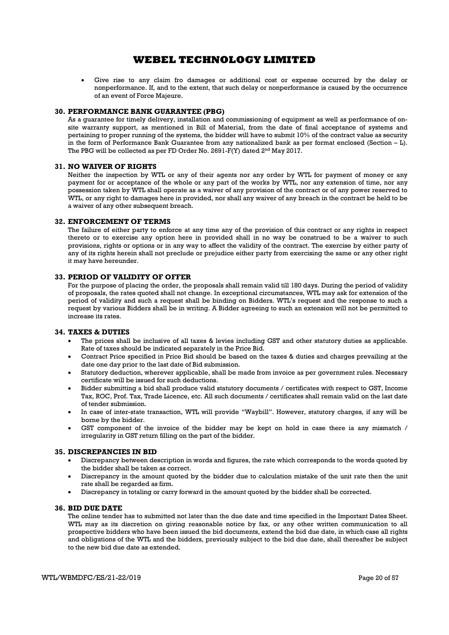Give rise to any claim fro damages or additional cost or expense occurred by the delay or nonperformance. If, and to the extent, that such delay or nonperformance is caused by the occurrence of an event of Force Majeure.

#### 30. PERFORMANCE BANK GUARANTEE (PBG)

As a guarantee for timely delivery, installation and commissioning of equipment as well as performance of onsite warranty support, as mentioned in Bill of Material, from the date of final acceptance of systems and pertaining to proper running of the systems, the bidder will have to submit 10% of the contract value as security in the form of Performance Bank Guarantee from any nationalized bank as per format enclosed (Section – L). The PBG will be collected as per FD Order No. 2691-F(Y) dated 2<sup>nd</sup> May 2017.

#### 31. NO WAIVER OF RIGHTS

Neither the inspection by WTL or any of their agents nor any order by WTL for payment of money or any payment for or acceptance of the whole or any part of the works by WTL, nor any extension of time, nor any possession taken by WTL shall operate as a waiver of any provision of the contract or of any power reserved to WTL, or any right to damages here in provided, nor shall any waiver of any breach in the contract be held to be a waiver of any other subsequent breach.

#### 32. ENFORCEMENT OF TERMS

The failure of either party to enforce at any time any of the provision of this contract or any rights in respect thereto or to exercise any option here in provided shall in no way be construed to be a waiver to such provisions, rights or options or in any way to affect the validity of the contract. The exercise by either party of any of its rights herein shall not preclude or prejudice either party from exercising the same or any other right it may have hereunder.

### 33. PERIOD OF VALIDITY OF OFFER

For the purpose of placing the order, the proposals shall remain valid till 180 days. During the period of validity of proposals, the rates quoted shall not change. In exceptional circumstances, WTL may ask for extension of the period of validity and such a request shall be binding on Bidders. WTL's request and the response to such a request by various Bidders shall be in writing. A Bidder agreeing to such an extension will not be permitted to increase its rates.

#### 34. TAXES & DUTIES

- The prices shall be inclusive of all taxes & levies including GST and other statutory duties as applicable. Rate of taxes should be indicated separately in the Price Bid.
- Contract Price specified in Price Bid should be based on the taxes & duties and charges prevailing at the date one day prior to the last date of Bid submission.
- Statutory deduction, wherever applicable, shall be made from invoice as per government rules. Necessary certificate will be issued for such deductions.
- Bidder submitting a bid shall produce valid statutory documents / certificates with respect to GST, Income Tax, ROC, Prof. Tax, Trade Licence, etc. All such documents / certificates shall remain valid on the last date of tender submission.
- In case of inter-state transaction, WTL will provide "Waybill". However, statutory charges, if any will be borne by the bidder.
- GST component of the invoice of the bidder may be kept on hold in case there ia any mismatch / irregularity in GST return filling on the part of the bidder.

#### 35. DISCREPANCIES IN BID

- Discrepancy between description in words and figures, the rate which corresponds to the words quoted by the bidder shall be taken as correct.
- Discrepancy in the amount quoted by the bidder due to calculation mistake of the unit rate then the unit rate shall be regarded as firm.
- Discrepancy in totaling or carry forward in the amount quoted by the bidder shall be corrected.

### 36. BID DUE DATE

The online tender has to submitted not later than the due date and time specified in the Important Dates Sheet. WTL may as its discretion on giving reasonable notice by fax, or any other written communication to all prospective bidders who have been issued the bid documents, extend the bid due date, in which case all rights and obligations of the WTL and the bidders, previously subject to the bid due date, shall thereafter be subject to the new bid due date as extended.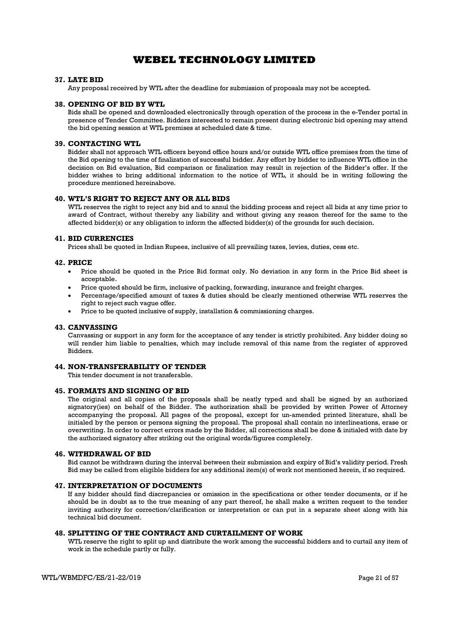### 37. LATE BID

Any proposal received by WTL after the deadline for submission of proposals may not be accepted.

#### 38. OPENING OF BID BY WTL

Bids shall be opened and downloaded electronically through operation of the process in the e-Tender portal in presence of Tender Committee. Bidders interested to remain present during electronic bid opening may attend the bid opening session at WTL premises at scheduled date & time.

### 39. CONTACTING WTL

Bidder shall not approach WTL officers beyond office hours and/or outside WTL office premises from the time of the Bid opening to the time of finalization of successful bidder. Any effort by bidder to influence WTL office in the decision on Bid evaluation, Bid comparison or finalization may result in rejection of the Bidder's offer. If the bidder wishes to bring additional information to the notice of WTL, it should be in writing following the procedure mentioned hereinabove.

#### 40. WTL'S RIGHT TO REJECT ANY OR ALL BIDS

WTL reserves the right to reject any bid and to annul the bidding process and reject all bids at any time prior to award of Contract, without thereby any liability and without giving any reason thereof for the same to the affected bidder(s) or any obligation to inform the affected bidder(s) of the grounds for such decision.

### 41. BID CURRENCIES

Prices shall be quoted in Indian Rupees, inclusive of all prevailing taxes, levies, duties, cess etc.

### 42. PRICE

- Price should be quoted in the Price Bid format only. No deviation in any form in the Price Bid sheet is acceptable.
- Price quoted should be firm, inclusive of packing, forwarding, insurance and freight charges.
- Percentage/specified amount of taxes & duties should be clearly mentioned otherwise WTL reserves the right to reject such vague offer.
- Price to be quoted inclusive of supply, installation & commissioning charges.

#### 43. CANVASSING

Canvassing or support in any form for the acceptance of any tender is strictly prohibited. Any bidder doing so will render him liable to penalties, which may include removal of this name from the register of approved Bidders.

### 44. NON-TRANSFERABILITY OF TENDER

This tender document is not transferable.

#### 45. FORMATS AND SIGNING OF BID

The original and all copies of the proposals shall be neatly typed and shall be signed by an authorized signatory(ies) on behalf of the Bidder. The authorization shall be provided by written Power of Attorney accompanying the proposal. All pages of the proposal, except for un-amended printed literature, shall be initialed by the person or persons signing the proposal. The proposal shall contain no interlineations, erase or overwriting. In order to correct errors made by the Bidder, all corrections shall be done & initialed with date by the authorized signatory after striking out the original words/figures completely.

#### 46. WITHDRAWAL OF BID

Bid cannot be withdrawn during the interval between their submission and expiry of Bid's validity period. Fresh Bid may be called from eligible bidders for any additional item(s) of work not mentioned herein, if so required.

### 47. INTERPRETATION OF DOCUMENTS

If any bidder should find discrepancies or omission in the specifications or other tender documents, or if he should be in doubt as to the true meaning of any part thereof, he shall make a written request to the tender inviting authority for correction/clarification or interpretation or can put in a separate sheet along with his technical bid document.

#### 48. SPLITTING OF THE CONTRACT AND CURTAILMENT OF WORK

WTL reserve the right to split up and distribute the work among the successful bidders and to curtail any item of work in the schedule partly or fully.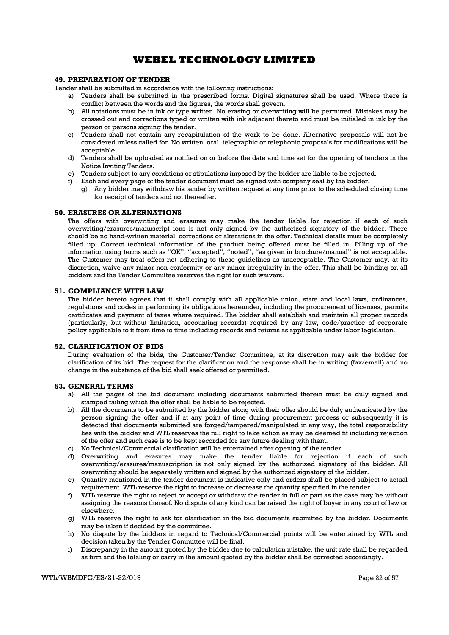### 49. PREPARATION OF TENDER

Tender shall be submitted in accordance with the following instructions:

- a) Tenders shall be submitted in the prescribed forms. Digital signatures shall be used. Where there is conflict between the words and the figures, the words shall govern.
- b) All notations must be in ink or type written. No erasing or overwriting will be permitted. Mistakes may be crossed out and corrections typed or written with ink adjacent thereto and must be initialed in ink by the person or persons signing the tender.
- c) Tenders shall not contain any recapitulation of the work to be done. Alternative proposals will not be considered unless called for. No written, oral, telegraphic or telephonic proposals for modifications will be acceptable.
- d) Tenders shall be uploaded as notified on or before the date and time set for the opening of tenders in the Notice Inviting Tenders.
- e) Tenders subject to any conditions or stipulations imposed by the bidder are liable to be rejected.
- f) Each and every page of the tender document must be signed with company seal by the bidder.
	- g) Any bidder may withdraw his tender by written request at any time prior to the scheduled closing time for receipt of tenders and not thereafter.

#### 50. ERASURES OR ALTERNATIONS

The offers with overwriting and erasures may make the tender liable for rejection if each of such overwriting/erasures/manuscript ions is not only signed by the authorized signatory of the bidder. There should be no hand-written material, corrections or alterations in the offer. Technical details must be completely filled up. Correct technical information of the product being offered must be filled in. Filling up of the information using terms such as "OK", "accepted", "noted", "as given in brochure/manual" is not acceptable. The Customer may treat offers not adhering to these guidelines as unacceptable. The Customer may, at its discretion, waive any minor non-conformity or any minor irregularity in the offer. This shall be binding on all bidders and the Tender Committee reserves the right for such waivers.

#### 51. COMPLIANCE WITH LAW

The bidder hereto agrees that it shall comply with all applicable union, state and local laws, ordinances, regulations and codes in performing its obligations hereunder, including the procurement of licenses, permits certificates and payment of taxes where required. The bidder shall establish and maintain all proper records (particularly, but without limitation, accounting records) required by any law, code/practice of corporate policy applicable to it from time to time including records and returns as applicable under labor legislation.

### 52. CLARIFICATION OF BIDS

During evaluation of the bids, the Customer/Tender Committee, at its discretion may ask the bidder for clarification of its bid. The request for the clarification and the response shall be in writing (fax/email) and no change in the substance of the bid shall seek offered or permitted.

#### 53. GENERAL TERMS

- a) All the pages of the bid document including documents submitted therein must be duly signed and stamped failing which the offer shall be liable to be rejected.
- b) All the documents to be submitted by the bidder along with their offer should be duly authenticated by the person signing the offer and if at any point of time during procurement process or subsequently it is detected that documents submitted are forged/tampered/manipulated in any way, the total responsibility lies with the bidder and WTL reserves the full right to take action as may be deemed fit including rejection of the offer and such case is to be kept recorded for any future dealing with them.
- c) No Technical/Commercial clarification will be entertained after opening of the tender.
- d) Overwriting and erasures may make the tender liable for rejection if each of such overwriting/erasures/manuscription is not only signed by the authorized signatory of the bidder. All overwriting should be separately written and signed by the authorized signatory of the bidder.
- e) Quantity mentioned in the tender document is indicative only and orders shall be placed subject to actual requirement. WTL reserve the right to increase or decrease the quantity specified in the tender.
- f) WTL reserve the right to reject or accept or withdraw the tender in full or part as the case may be without assigning the reasons thereof. No dispute of any kind can be raised the right of buyer in any court of law or elsewhere.
- g) WTL reserve the right to ask for clarification in the bid documents submitted by the bidder. Documents may be taken if decided by the committee.
- h) No dispute by the bidders in regard to Technical/Commercial points will be entertained by WTL and decision taken by the Tender Committee will be final.
- i) Discrepancy in the amount quoted by the bidder due to calculation mistake, the unit rate shall be regarded as firm and the totaling or carry in the amount quoted by the bidder shall be corrected accordingly.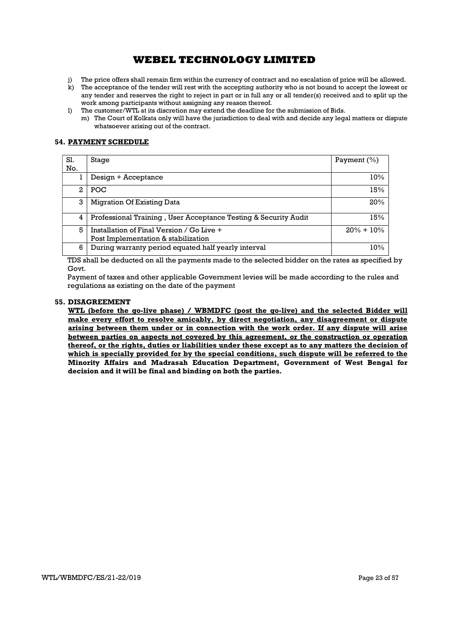- j) The price offers shall remain firm within the currency of contract and no escalation of price will be allowed.
- k) The acceptance of the tender will rest with the accepting authority who is not bound to accept the lowest or any tender and reserves the right to reject in part or in full any or all tender(s) received and to split up the work among participants without assigning any reason thereof.
- l) The customer/WTL at its discretion may extend the deadline for the submission of Bids.
	- m) The Court of Kolkata only will have the jurisdiction to deal with and decide any legal matters or dispute whatsoever arising out of the contract.

### 54. PAYMENT SCHEDULE

| Sl.<br>No. | Stage                                                           | Payment $(\%)$ |
|------------|-----------------------------------------------------------------|----------------|
|            | Design + Acceptance                                             | 10%            |
| 2          | <b>POC</b>                                                      | 15%            |
| 3          | Migration Of Existing Data                                      | 20%            |
| 4          | Professional Training, User Acceptance Testing & Security Audit | 15%            |
| 5          | Installation of Final Version / Go Live +                       | $20\% + 10\%$  |
|            | Post Implementation & stabilization                             |                |
| 6          | During warranty period equated half yearly interval             | 10%            |

TDS shall be deducted on all the payments made to the selected bidder on the rates as specified by Govt.

Payment of taxes and other applicable Government levies will be made according to the rules and regulations as existing on the date of the payment

### 55. DISAGREEMENT

WTL (before the go-live phase) / WBMDFC (post the go-live) and the selected Bidder will make every effort to resolve amicably, by direct negotiation, any disagreement or dispute arising between them under or in connection with the work order. If any dispute will arise between parties on aspects not covered by this agreement, or the construction or operation thereof, or the rights, duties or liabilities under these except as to any matters the decision of which is specially provided for by the special conditions, such dispute will be referred to the Minority Affairs and Madrasah Education Department, Government of West Bengal for decision and it will be final and binding on both the parties.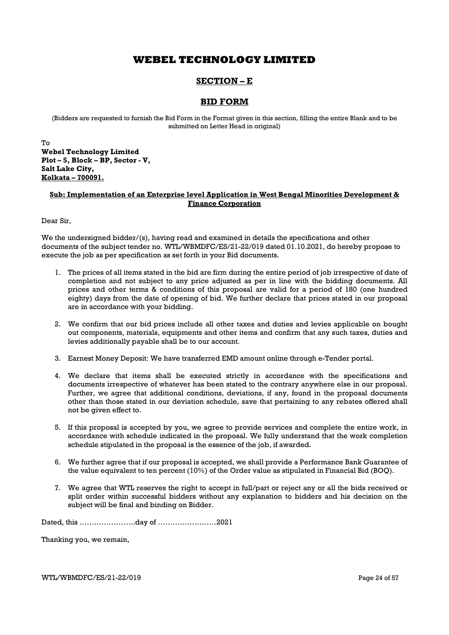## SECTION – E

## BID FORM

(Bidders are requested to furnish the Bid Form in the Format given in this section, filling the entire Blank and to be submitted on Letter Head in original)

To Webel Technology Limited Plot – 5, Block – BP, Sector - V, Salt Lake City, Kolkata – 700091.

### Sub: Implementation of an Enterprise level Application in West Bengal Minorities Development & Finance Corporation

Dear Sir,

We the undersigned bidder/(s), having read and examined in details the specifications and other documents of the subject tender no. WTL/WBMDFC/ES/21-22/019 dated 01.10.2021, do hereby propose to execute the job as per specification as set forth in your Bid documents.

- 1. The prices of all items stated in the bid are firm during the entire period of job irrespective of date of completion and not subject to any price adjusted as per in line with the bidding documents. All prices and other terms & conditions of this proposal are valid for a period of 180 (one hundred eighty) days from the date of opening of bid. We further declare that prices stated in our proposal are in accordance with your bidding.
- 2. We confirm that our bid prices include all other taxes and duties and levies applicable on bought out components, materials, equipments and other items and confirm that any such taxes, duties and levies additionally payable shall be to our account.
- 3. Earnest Money Deposit: We have transferred EMD amount online through e-Tender portal.
- 4. We declare that items shall be executed strictly in accordance with the specifications and documents irrespective of whatever has been stated to the contrary anywhere else in our proposal. Further, we agree that additional conditions, deviations, if any, found in the proposal documents other than those stated in our deviation schedule, save that pertaining to any rebates offered shall not be given effect to.
- 5. If this proposal is accepted by you, we agree to provide services and complete the entire work, in accordance with schedule indicated in the proposal. We fully understand that the work completion schedule stipulated in the proposal is the essence of the job, if awarded.
- 6. We further agree that if our proposal is accepted, we shall provide a Performance Bank Guarantee of the value equivalent to ten percent (10%) of the Order value as stipulated in Financial Bid (BOQ).
- 7. We agree that WTL reserves the right to accept in full/part or reject any or all the bids received or split order within successful bidders without any explanation to bidders and his decision on the subject will be final and binding on Bidder.

Dated, this …………………..day of ……………………2021

Thanking you, we remain,

WTL/WBMDFC/ES/21-22/019 Page 24 of 57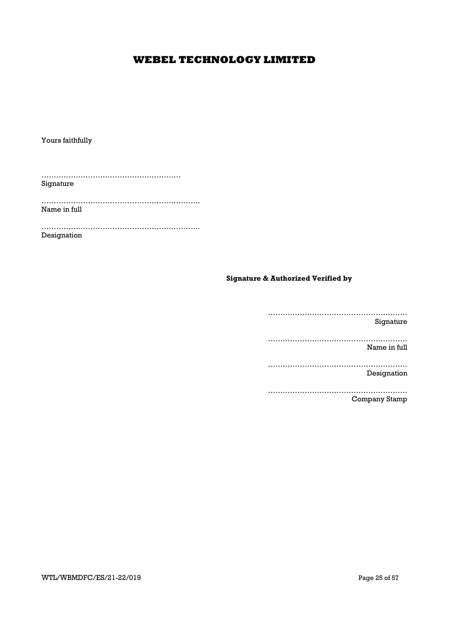Yours faithfully

………………………………………………… Signature

……………………………………………………….. Name in full

……………………………………………………….. Designation

## Signature & Authorized Verified by

………………………………………………… Signature ………………………………………………… Name in full ………………………………………………… Designation ………………………………………………… Company Stamp

WTL/WBMDFC/ES/21-22/019 Page 25 of 57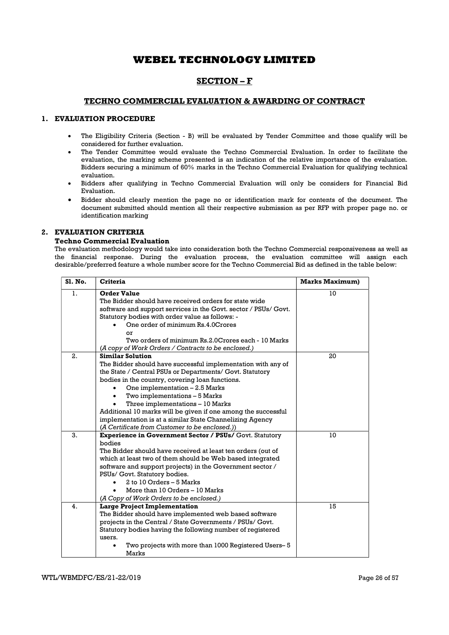## SECTION – F

### TECHNO COMMERCIAL EVALUATION & AWARDING OF CONTRACT

### 1. EVALUATION PROCEDURE

- The Eligibility Criteria (Section B) will be evaluated by Tender Committee and those qualify will be considered for further evaluation.
- The Tender Committee would evaluate the Techno Commercial Evaluation. In order to facilitate the evaluation, the marking scheme presented is an indication of the relative importance of the evaluation. Bidders securing a minimum of 60% marks in the Techno Commercial Evaluation for qualifying technical evaluation.
- Bidders after qualifying in Techno Commercial Evaluation will only be considers for Financial Bid Evaluation.
- Bidder should clearly mention the page no or identification mark for contents of the document. The document submitted should mention all their respective submission as per RFP with proper page no. or identification marking

### 2. EVALUATION CRITERIA

#### Techno Commercial Evaluation

The evaluation methodology would take into consideration both the Techno Commercial responsiveness as well as the financial response. During the evaluation process, the evaluation committee will assign each desirable/preferred feature a whole number score for the Techno Commercial Bid as defined in the table below:

| <b>S1. No.</b> | <b>Criteria</b>                                                 | <b>Marks Maximum)</b> |
|----------------|-----------------------------------------------------------------|-----------------------|
| 1.             | <b>Order Value</b>                                              | 10                    |
|                | The Bidder should have received orders for state wide           |                       |
|                | software and support services in the Govt. sector / PSUs/ Govt. |                       |
|                | Statutory bodies with order value as follows: -                 |                       |
|                | One order of minimum Rs.4.0Crores                               |                       |
|                | or                                                              |                       |
|                | Two orders of minimum Rs.2.0 Crores each - 10 Marks             |                       |
|                | (A copy of Work Orders / Contracts to be enclosed.)             |                       |
| 2.             | <b>Similar Solution</b>                                         | 20                    |
|                | The Bidder should have successful implementation with any of    |                       |
|                | the State / Central PSUs or Departments/ Govt. Statutory        |                       |
|                | bodies in the country, covering loan functions.                 |                       |
|                | One implementation - 2.5 Marks                                  |                       |
|                | Two implementations - 5 Marks                                   |                       |
|                | Three implementations - 10 Marks                                |                       |
|                | Additional 10 marks will be given if one among the successful   |                       |
|                | implementation is at a similar State Channelizing Agency        |                       |
|                | (A Certificate from Customer to be enclosed.))                  |                       |
| 3.             | <b>Experience in Government Sector / PSUs/ Govt. Statutory</b>  | 10                    |
|                | bodies                                                          |                       |
|                | The Bidder should have received at least ten orders (out of     |                       |
|                | which at least two of them should be Web based integrated       |                       |
|                | software and support projects) in the Government sector /       |                       |
|                | PSUs/ Govt. Statutory bodies.                                   |                       |
|                | 2 to 10 Orders - 5 Marks                                        |                       |
|                | More than 10 Orders - 10 Marks                                  |                       |
|                | (A Copy of Work Orders to be enclosed.)                         |                       |
| 4.             | <b>Large Project Implementation</b>                             | 15                    |
|                | The Bidder should have implemented web based software           |                       |
|                | projects in the Central / State Governments / PSUs/ Govt.       |                       |
|                | Statutory bodies having the following number of registered      |                       |
|                | users.                                                          |                       |
|                | Two projects with more than 1000 Registered Users-5             |                       |
|                | Marks                                                           |                       |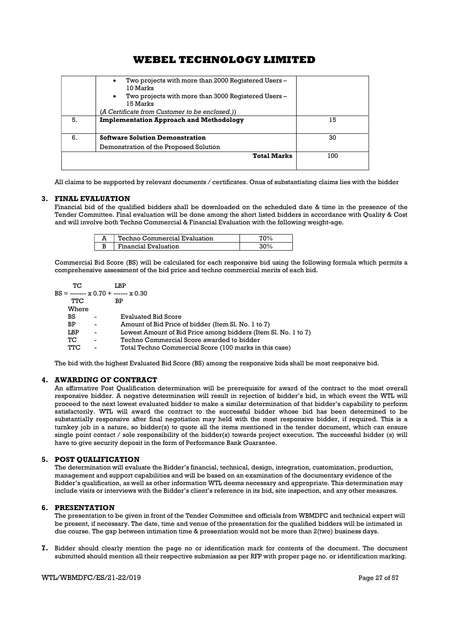|    | Two projects with more than 2000 Registered Users –<br>$\bullet$<br>10 Marks<br>Two projects with more than 3000 Registered Users –<br>$\bullet$<br>15 Marks<br>(A Certificate from Customer to be enclosed.)) |     |
|----|----------------------------------------------------------------------------------------------------------------------------------------------------------------------------------------------------------------|-----|
| 5. | <b>Implementation Approach and Methodology</b>                                                                                                                                                                 | 15  |
| 6. | <b>Software Solution Demonstration</b>                                                                                                                                                                         | 30  |
|    | Demonstration of the Proposed Solution                                                                                                                                                                         |     |
|    | <b>Total Marks</b>                                                                                                                                                                                             | 100 |

All claims to be supported by relevant documents / certificates. Onus of substantiating claims lies with the bidder

### 3. FINAL EVALUATION

Financial bid of the qualified bidders shall be downloaded on the scheduled date & time in the presence of the Tender Committee. Final evaluation will be done among the short listed bidders in accordance with Quality & Cost and will involve both Techno Commercial & Financial Evaluation with the following weight-age.

| Techno Commercial Evaluation |  |
|------------------------------|--|
| Financial Evaluation         |  |

Commercial Bid Score (BS) will be calculated for each responsive bid using the following formula which permits a comprehensive assessment of the bid price and techno commercial merits of each bid.

| TС    |                | LBP                                                            |
|-------|----------------|----------------------------------------------------------------|
|       |                | $BS =$ ------- x 0.70 + ------ x 0.30                          |
| TTC   |                | ВP                                                             |
| Where |                |                                                                |
| BS    | ۰              | <b>Evaluated Bid Score</b>                                     |
| BP    | ٠              | Amount of Bid Price of bidder (Item Sl. No. 1 to 7)            |
| LBP   | ۰              | Lowest Amount of Bid Price among bidders (Item Sl. No. 1 to 7) |
| TС    | ۰              | Techno Commercial Score awarded to bidder                      |
| TTC   | $\blacksquare$ | Total Techno Commercial Score (100 marks in this case)         |
|       |                |                                                                |

The bid with the highest Evaluated Bid Score (BS) among the responsive bids shall be most responsive bid.

## 4. AWARDING OF CONTRACT

An affirmative Post Qualification determination will be prerequisite for award of the contract to the most overall responsive bidder. A negative determination will result in rejection of bidder's bid, in which event the WTL will proceed to the next lowest evaluated bidder to make a similar determination of that bidder's capability to perform satisfactorily. WTL will award the contract to the successful bidder whose bid has been determined to be substantially responsive after final negotiation may held with the most responsive bidder, if required. This is a turnkey job in a nature, so bidder(s) to quote all the items mentioned in the tender document, which can ensure single point contact / sole responsibility of the bidder(s) towards project execution. The successful bidder (s) will have to give security deposit in the form of Performance Bank Guarantee.

### 5. POST QUALIFICATION

The determination will evaluate the Bidder's financial, technical, design, integration, customization, production, management and support capabilities and will be based on an examination of the documentary evidence of the Bidder's qualification, as well as other information WTL deems necessary and appropriate. This determination may include visits or interviews with the Bidder's client's reference in its bid, site inspection, and any other measures.

### 6. PRESENTATION

The presentation to be given in front of the Tender Committee and officials from WBMDFC and technical expert will be present, if necessary. The date, time and venue of the presentation for the qualified bidders will be intimated in due course. The gap between intimation time & presentation would not be more than 2(two) business days.

7. Bidder should clearly mention the page no or identification mark for contents of the document. The document submitted should mention all their respective submission as per RFP with proper page no. or identification marking.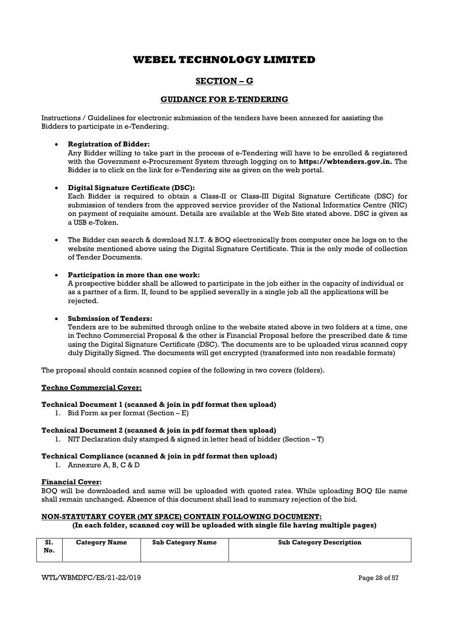## SECTION – G

## GUIDANCE FOR E-TENDERING

Instructions / Guidelines for electronic submission of the tenders have been annexed for assisting the Bidders to participate in e-Tendering.

### Registration of Bidder:

Any Bidder willing to take part in the process of e-Tendering will have to be enrolled & registered with the Government e-Procurement System through logging on to https://wbtenders.gov.in. The Bidder is to click on the link for e-Tendering site as given on the web portal.

### Digital Signature Certificate (DSC):

Each Bidder is required to obtain a Class-II or Class-III Digital Signature Certificate (DSC) for submission of tenders from the approved service provider of the National Informatics Centre (NIC) on payment of requisite amount. Details are available at the Web Site stated above. DSC is given as a USB e-Token.

 The Bidder can search & download N.I.T. & BOQ electronically from computer once he logs on to the website mentioned above using the Digital Signature Certificate. This is the only mode of collection of Tender Documents.

### Participation in more than one work:

A prospective bidder shall be allowed to participate in the job either in the capacity of individual or as a partner of a firm. If, found to be applied severally in a single job all the applications will be rejected.

### Submission of Tenders:

Tenders are to be submitted through online to the website stated above in two folders at a time, one in Techno Commercial Proposal & the other is Financial Proposal before the prescribed date & time using the Digital Signature Certificate (DSC). The documents are to be uploaded virus scanned copy duly Digitally Signed. The documents will get encrypted (transformed into non readable formats)

The proposal should contain scanned copies of the following in two covers (folders).

### Techno Commercial Cover:

### Technical Document 1 (scanned & join in pdf format then upload)

1. Bid Form as per format (Section – E)

### Technical Document 2 (scanned & join in pdf format then upload)

1. NIT Declaration duly stamped & signed in letter head of bidder (Section – T)

### Technical Compliance (scanned & join in pdf format then upload)

1. Annexure A, B, C & D

### Financial Cover:

BOQ will be downloaded and same will be uploaded with quoted rates. While uploading BOQ file name shall remain unchanged. Absence of this document shall lead to summary rejection of the bid.

## NON-STATUTARY COVER (MY SPACE) CONTAIN FOLLOWING DOCUMENT:

### (In each folder, scanned coy will be uploaded with single file having multiple pages)

| S1.<br>No. | <b>Category Name</b> | <b>Sub Category Name</b> | <b>Sub Category Description</b> |
|------------|----------------------|--------------------------|---------------------------------|
|            |                      |                          |                                 |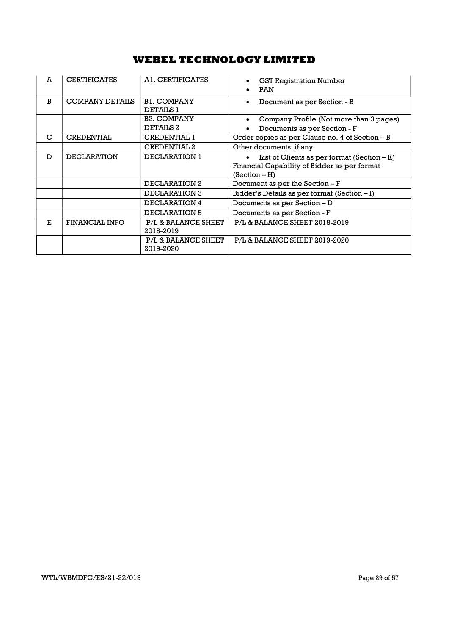| A  | <b>CERTIFICATES</b>    | A1. CERTIFICATES                       | <b>GST Registration Number</b><br><b>PAN</b>                                                  |  |  |
|----|------------------------|----------------------------------------|-----------------------------------------------------------------------------------------------|--|--|
| R  | <b>COMPANY DETAILS</b> | <b>B1. COMPANY</b><br><b>DETAILS 1</b> | Document as per Section - B                                                                   |  |  |
|    |                        | <b>B2. COMPANY</b>                     | Company Profile (Not more than 3 pages)                                                       |  |  |
|    |                        | DETAILS <sub>2</sub>                   | Documents as per Section - F                                                                  |  |  |
| C  | <b>CREDENTIAL</b>      | <b>CREDENTIAL 1</b>                    | Order copies as per Clause no. 4 of Section - B                                               |  |  |
|    |                        | <b>CREDENTIAL 2</b>                    | Other documents, if any                                                                       |  |  |
| D  | <b>DECLARATION</b>     | DECLARATION 1                          | List of Clients as per format $(Section - K)$<br>Financial Capability of Bidder as per format |  |  |
|    |                        |                                        | $(Section - H)$                                                                               |  |  |
|    |                        | DECLARATION 2                          | Document as per the Section - F                                                               |  |  |
|    |                        | DECLARATION 3                          | Bidder's Details as per format (Section $-I$ )                                                |  |  |
|    |                        | DECLARATION 4                          | Documents as per Section $-D$                                                                 |  |  |
|    |                        | DECLARATION 5                          | Documents as per Section - F                                                                  |  |  |
| E. | <b>FINANCIAL INFO</b>  | P/L & BALANCE SHEET<br>2018-2019       | P/L & BALANCE SHEET 2018-2019                                                                 |  |  |
|    |                        | P/L & BALANCE SHEET<br>2019-2020       | P/L & BALANCE SHEET 2019-2020                                                                 |  |  |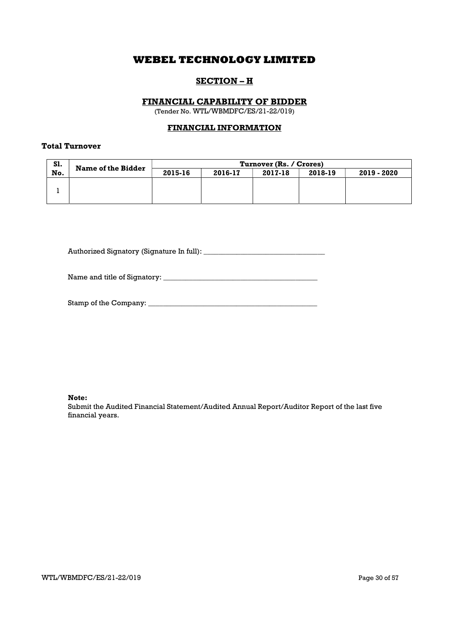## SECTION – H

## FINANCIAL CAPABILITY OF BIDDER

(Tender No. WTL/WBMDFC/ES/21-22/019)

## FINANCIAL INFORMATION

## Total Turnover

| S1. | <b>Name of the Bidder</b> | Turnover (Rs. / Crores) |         |         |         |             |
|-----|---------------------------|-------------------------|---------|---------|---------|-------------|
| No. |                           | 2015-16                 | 2016-17 | 2017-18 | 2018-19 | 2019 - 2020 |
|     |                           |                         |         |         |         |             |

Authorized Signatory (Signature In full): \_\_\_\_\_\_\_\_\_\_\_\_\_\_\_\_\_\_\_\_\_\_\_\_\_\_\_\_\_\_\_\_\_

Name and title of Signatory: \_\_\_\_\_\_\_\_\_\_\_\_\_\_\_\_\_\_\_\_\_\_\_\_\_\_\_\_\_\_\_\_\_\_\_\_\_\_\_\_\_\_

| Stamp of the Company: |  |
|-----------------------|--|
|-----------------------|--|

Note:

Submit the Audited Financial Statement/Audited Annual Report/Auditor Report of the last five financial years.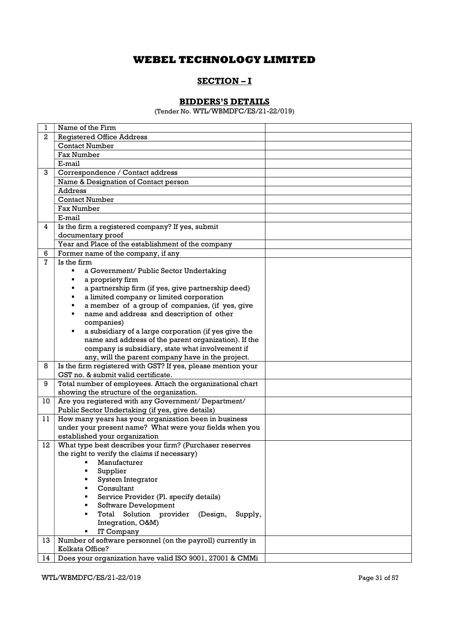## SECTION-I

## BIDDERS'S DETAILS

(Tender No. WTL/WBMDFC/ES/21-22/019)

| 1              | Name of the Firm                                             |
|----------------|--------------------------------------------------------------|
| $\mathbf{2}$   | <b>Registered Office Address</b>                             |
|                | <b>Contact Number</b>                                        |
|                | <b>Fax Number</b>                                            |
|                | E-mail                                                       |
| 3              | Correspondence / Contact address                             |
|                | Name & Designation of Contact person                         |
|                | <b>Address</b>                                               |
|                | <b>Contact Number</b>                                        |
|                | <b>Fax Number</b>                                            |
|                | E-mail                                                       |
| $\overline{4}$ | Is the firm a registered company? If yes, submit             |
|                | documentary proof                                            |
|                | Year and Place of the establishment of the company           |
| 6              | Former name of the company, if any                           |
| 7              | Is the firm                                                  |
|                | a Government/ Public Sector Undertaking                      |
|                | a propriety firm                                             |
|                | a partnership firm (if yes, give partnership deed)           |
|                | a limited company or limited corporation<br>٠                |
|                | a member of a group of companies, (if yes, give<br>٠         |
|                | name and address and description of other<br>٠               |
|                | companies)                                                   |
|                | a subsidiary of a large corporation (if yes give the         |
|                | name and address of the parent organization). If the         |
|                | company is subsidiary, state what involvement if             |
|                | any, will the parent company have in the project.            |
| 8              | Is the firm registered with GST? If yes, please mention your |
|                | GST no. & submit valid certificate.                          |
| 9              | Total number of employees. Attach the organizational chart   |
|                | showing the structure of the organization.                   |
| 10             | Are you registered with any Government/ Department/          |
|                | Public Sector Undertaking (if yes, give details)             |
| 11             | How many years has your organization been in business        |
|                | under your present name? What were your fields when you      |
|                | established your organization                                |
| 12             | What type best describes your firm? (Purchaser reserves      |
|                | the right to verify the claims if necessary)                 |
|                | ■ Manufacturer                                               |
|                | Supplier                                                     |
|                | System Integrator                                            |
|                | Consultant                                                   |
|                | Service Provider (Pl. specify details)                       |
|                | Software Development                                         |
|                | Total Solution provider (Design,<br>Supply,                  |
|                | Integration, O&M)                                            |
|                | IT Company                                                   |
| 13             | Number of software personnel (on the payroll) currently in   |
|                | Kolkata Office?                                              |
| 14             | Does your organization have valid ISO 9001, 27001 & CMMi     |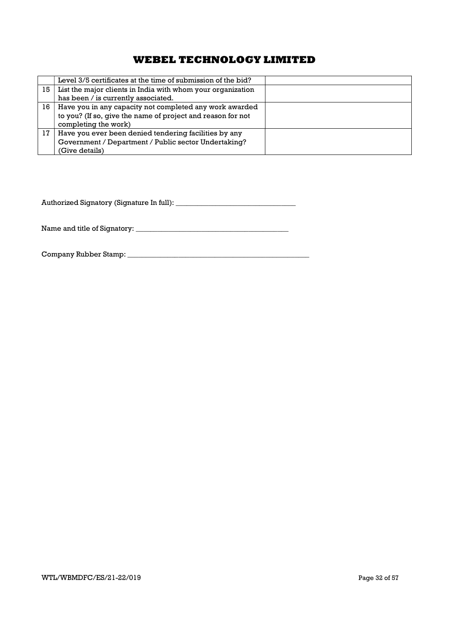|    | Level 3/5 certificates at the time of submission of the bid? |  |
|----|--------------------------------------------------------------|--|
| 15 | List the major clients in India with whom your organization  |  |
|    | has been / is currently associated.                          |  |
| 16 | Have you in any capacity not completed any work awarded      |  |
|    | to you? (If so, give the name of project and reason for not  |  |
|    | completing the work)                                         |  |
| 17 | Have you ever been denied tendering facilities by any        |  |
|    | Government / Department / Public sector Undertaking?         |  |
|    | (Give details)                                               |  |

Authorized Signatory (Signature In full): \_\_\_\_\_\_\_\_\_\_\_\_\_\_\_\_\_\_\_\_\_\_\_\_\_\_\_\_\_\_\_\_\_

Name and title of Signatory: \_\_\_\_\_\_\_\_\_\_\_\_\_\_\_\_\_\_\_\_\_\_\_\_\_\_\_\_\_\_\_\_\_\_\_\_\_\_\_\_\_\_

Company Rubber Stamp: \_\_\_\_\_\_\_\_\_\_\_\_\_\_\_\_\_\_\_\_\_\_\_\_\_\_\_\_\_\_\_\_\_\_\_\_\_\_\_\_\_\_\_\_\_\_\_\_\_\_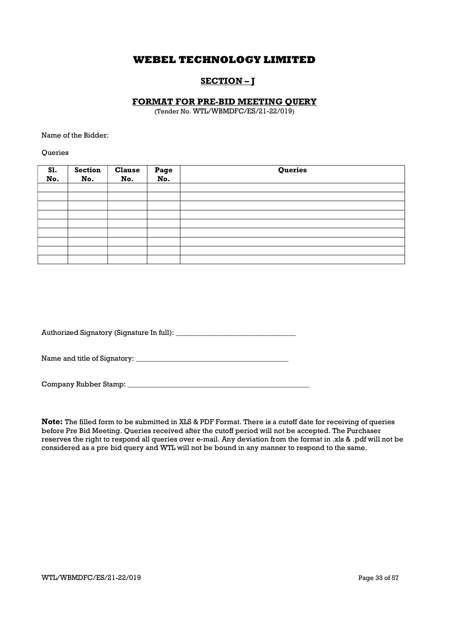## SECTION – J

## FORMAT FOR PRE-BID MEETING QUERY

(Tender No. WTL/WBMDFC/ES/21-22/019)

Name of the Bidder:

**Oueries** 

| S1.<br>No. | <b>Section</b><br>No. | <b>Clause</b><br>No. | Page<br>No. | Queries |
|------------|-----------------------|----------------------|-------------|---------|
|            |                       |                      |             |         |
|            |                       |                      |             |         |
|            |                       |                      |             |         |
|            |                       |                      |             |         |
|            |                       |                      |             |         |
|            |                       |                      |             |         |
|            |                       |                      |             |         |
|            |                       |                      |             |         |
|            |                       |                      |             |         |

| Authorized Signatory (Signature In full): |  |
|-------------------------------------------|--|
|                                           |  |

Name and title of Signatory: \_\_\_\_\_\_\_\_\_\_\_\_\_\_\_\_\_\_\_\_\_\_\_\_\_\_\_\_\_\_\_\_\_\_\_\_\_\_\_\_\_\_

| Company Rubber Stamp: |  |
|-----------------------|--|
|                       |  |

Note: The filled form to be submitted in XLS & PDF Format. There is a cutoff date for receiving of queries before Pre Bid Meeting. Queries received after the cutoff period will not be accepted. The Purchaser reserves the right to respond all queries over e-mail. Any deviation from the format in .xls & .pdf will not be considered as a pre bid query and WTL will not be bound in any manner to respond to the same.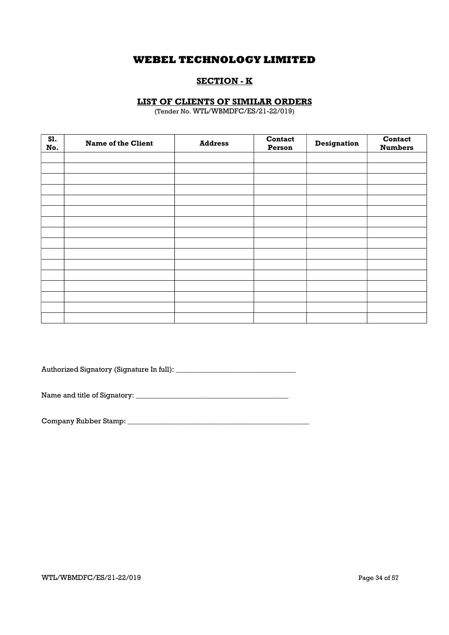## SECTION - K

## LIST OF CLIENTS OF SIMILAR ORDERS

(Tender No. WTL/WBMDFC/ES/21-22/019)

| S1.<br>No. | <b>Name of the Client</b> | <b>Address</b> | Contact<br>Person | <b>Designation</b> | Contact<br><b>Numbers</b> |
|------------|---------------------------|----------------|-------------------|--------------------|---------------------------|
|            |                           |                |                   |                    |                           |
|            |                           |                |                   |                    |                           |
|            |                           |                |                   |                    |                           |
|            |                           |                |                   |                    |                           |
|            |                           |                |                   |                    |                           |
|            |                           |                |                   |                    |                           |
|            |                           |                |                   |                    |                           |
|            |                           |                |                   |                    |                           |
|            |                           |                |                   |                    |                           |
|            |                           |                |                   |                    |                           |
|            |                           |                |                   |                    |                           |
|            |                           |                |                   |                    |                           |
|            |                           |                |                   |                    |                           |
|            |                           |                |                   |                    |                           |
|            |                           |                |                   |                    |                           |
|            |                           |                |                   |                    |                           |

Authorized Signatory (Signature In full): \_\_\_\_\_\_\_\_\_\_\_\_\_\_\_\_\_\_\_\_\_\_\_\_\_\_\_\_\_\_\_\_\_

Name and title of Signatory: \_\_\_\_\_\_\_\_\_\_\_\_\_\_\_\_\_\_\_\_\_\_\_\_\_\_\_\_\_\_\_\_\_\_\_\_\_\_\_\_\_\_

Company Rubber Stamp: \_\_\_\_\_\_\_\_\_\_\_\_\_\_\_\_\_\_\_\_\_\_\_\_\_\_\_\_\_\_\_\_\_\_\_\_\_\_\_\_\_\_\_\_\_\_\_\_\_\_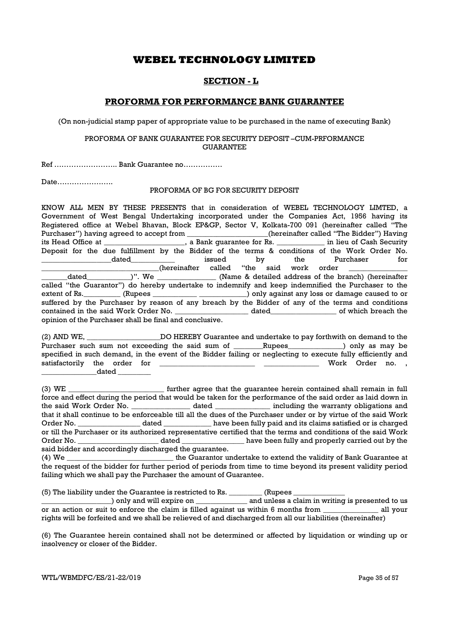## SECTION - L

## PROFORMA FOR PERFORMANCE BANK GUARANTEE

(On non-judicial stamp paper of appropriate value to be purchased in the name of executing Bank)

### PROFORMA OF BANK GUARANTEE FOR SECURITY DEPOSIT –CUM-PRFORMANCE GUARANTEE

Ref …………………….. Bank Guarantee no…………….

Date…………………..

### PROFORMA OF BG FOR SECURITY DEPOSIT

KNOW ALL MEN BY THESE PRESENTS that in consideration of WEBEL TECHNOLOGY LIMTED, a Government of West Bengal Undertaking incorporated under the Companies Act, 1956 having its Registered office at Webel Bhavan, Block EP&GP, Sector V, Kolkata-700 091 (hereinafter called "The Purchaser") having agreed to accept from \_\_\_\_\_\_\_\_\_\_\_\_\_\_\_\_\_(hereinafter called "The Bidder") Having its Head Office at \_\_\_\_\_\_\_\_\_\_\_\_\_\_\_\_\_\_\_\_\_\_, a Bank guarantee for Rs. \_\_\_\_\_\_\_\_\_\_\_\_\_ in lieu of Cash Security Deposit for the due fulfillment by the Bidder of the terms & conditions of the Work Order No. \_\_\_\_\_\_\_\_\_\_\_\_\_\_\_\_\_\_\_dated\_\_\_\_\_\_\_\_\_\_\_\_ issued by the Purchaser for (hereinafter called "the said work order<br>dated )". We (Name & detailed address of the b (Name & detailed address of the branch) (hereinafter called "the Guarantor") do hereby undertake to indemnify and keep indemnified the Purchaser to the extent of Rs. \_\_\_\_\_\_\_\_\_ (Rupees \_\_\_\_\_\_\_\_\_\_\_\_\_\_\_\_\_\_\_\_\_\_\_\_\_) only against any loss or damage caused to or suffered by the Purchaser by reason of any breach by the Bidder of any of the terms and conditions contained in the said Work Order No. \_\_\_\_\_\_\_\_\_\_\_\_\_\_\_\_\_\_\_\_ dated\_\_\_\_\_\_\_\_\_\_\_\_\_\_\_\_\_\_ of which breach the opinion of the Purchaser shall be final and conclusive.

(2) AND WE, \_\_\_\_\_\_\_\_\_\_\_\_\_\_\_\_\_\_\_\_DO HEREBY Guarantee and undertake to pay forthwith on demand to the Purchaser such sum not exceeding the said sum of \_\_\_\_\_\_Rupees\_\_\_\_\_\_\_\_\_\_\_\_) only as may be specified in such demand, in the event of the Bidder failing or neglecting to execute fully efficiently and satisfactorily the order for \_\_\_\_\_\_\_\_\_\_\_\_\_\_\_\_\_\_\_\_\_\_\_\_\_\_ \_\_\_\_\_\_\_\_\_\_\_\_\_\_\_ Work Order no. ,  $_{\rm dated}$ 

(3) WE \_\_\_\_\_\_\_\_\_\_\_\_\_\_\_\_\_\_\_\_\_\_\_\_\_\_ further agree that the guarantee herein contained shall remain in full force and effect during the period that would be taken for the performance of the said order as laid down in the said Work Order No. **Example 20** dated **the including the warranty obligations and** that it shall continue to be enforceable till all the dues of the Purchaser under or by virtue of the said Work Order No. \_\_\_\_\_\_\_\_\_\_\_\_\_\_\_\_\_\_\_ dated \_\_\_\_\_\_\_\_\_\_\_\_\_\_\_ have been fully paid and its claims satisfied or is charged or till the Purchaser or its authorized representative certified that the terms and conditions of the said Work Order No. \_\_\_\_\_\_\_\_\_\_\_\_\_\_\_\_\_\_\_\_\_\_ dated \_\_\_\_\_\_\_\_\_\_\_\_\_\_\_\_\_ have been fully and properly carried out by the said bidder and accordingly discharged the guarantee.

(4) We \_\_\_\_\_\_\_\_\_\_\_\_\_\_\_\_\_\_\_\_\_\_\_\_\_\_\_\_\_ the Guarantor undertake to extend the validity of Bank Guarantee at the request of the bidder for further period of periods from time to time beyond its present validity period failing which we shall pay the Purchaser the amount of Guarantee.

(5) The liability under the Guarantee is restricted to Rs. \_\_\_\_\_\_\_\_\_ (Rupees \_\_\_\_\_\_\_\_\_\_\_\_\_\_

\_\_\_\_\_\_\_\_\_\_\_\_\_\_\_\_\_\_\_) only and will expire on \_\_\_\_\_\_\_\_\_\_\_\_\_\_ and unless a claim in writing is presented to us or an action or suit to enforce the claim is filled against us within 6 months from \_\_\_\_\_\_\_\_\_\_\_\_\_\_\_ all your rights will be forfeited and we shall be relieved of and discharged from all our liabilities (thereinafter)

(6) The Guarantee herein contained shall not be determined or affected by liquidation or winding up or insolvency or closer of the Bidder.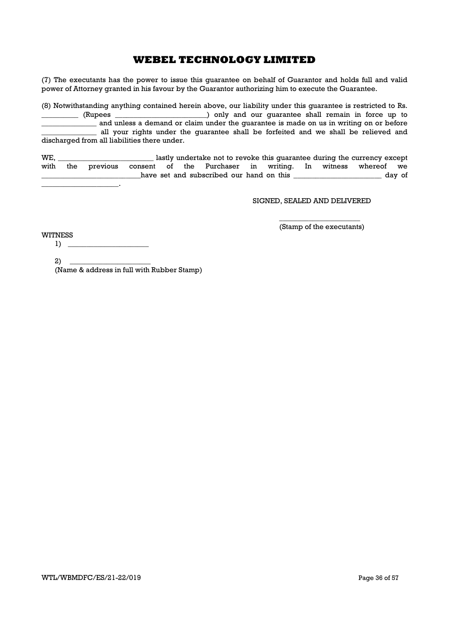(7) The executants has the power to issue this guarantee on behalf of Guarantor and holds full and valid power of Attorney granted in his favour by the Guarantor authorizing him to execute the Guarantee.

(8) Notwithstanding anything contained herein above, our liability under this guarantee is restricted to Rs. \_\_\_\_\_\_\_\_\_\_ (Rupees \_\_\_\_\_\_\_\_\_\_\_\_\_\_\_\_\_\_\_\_\_\_\_\_\_) only and our guarantee shall remain in force up to \_\_\_\_\_\_\_\_\_\_\_\_\_\_\_ and unless a demand or claim under the guarantee is made on us in writing on or before \_\_\_\_\_\_\_\_\_\_\_\_\_\_\_ all your rights under the guarantee shall be forfeited and we shall be relieved and discharged from all liabilities there under.

WE, \_\_\_\_\_\_\_\_\_\_\_\_\_\_\_\_\_\_\_\_\_\_\_\_\_\_ lastly undertake not to revoke this guarantee during the currency except with the previous consent of the Purchaser in writing. In witness whereof we have set and subscribed our hand on this \_\_\_\_\_\_\_\_\_\_\_\_\_\_\_\_\_\_\_\_\_\_\_\_\_\_\_\_ day of

### SIGNED, SEALED AND DELIVERED

WITNESS

\_\_\_\_\_\_\_\_\_\_\_\_\_\_\_\_\_\_\_\_\_\_ (Stamp of the executants)

 $\mathcal{L}=\mathcal{L}$ 

2) \_\_\_\_\_\_\_\_\_\_\_\_\_\_\_\_\_\_\_\_\_\_ (Name & address in full with Rubber Stamp)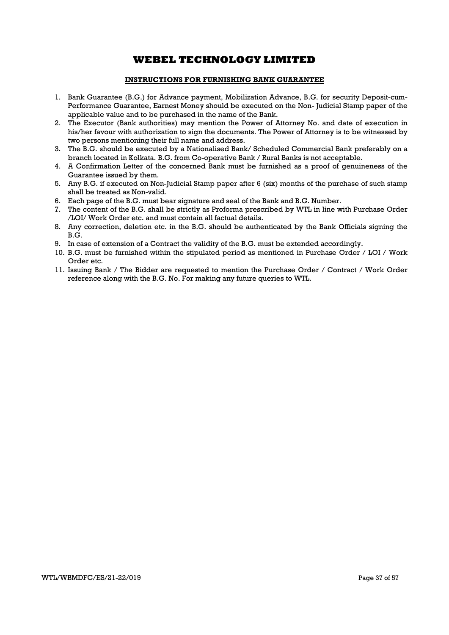### INSTRUCTIONS FOR FURNISHING BANK GUARANTEE

- 1. Bank Guarantee (B.G.) for Advance payment, Mobilization Advance, B.G. for security Deposit-cum-Performance Guarantee, Earnest Money should be executed on the Non- Judicial Stamp paper of the applicable value and to be purchased in the name of the Bank.
- 2. The Executor (Bank authorities) may mention the Power of Attorney No. and date of execution in his/her favour with authorization to sign the documents. The Power of Attorney is to be witnessed by two persons mentioning their full name and address.
- 3. The B.G. should be executed by a Nationalised Bank/ Scheduled Commercial Bank preferably on a branch located in Kolkata. B.G. from Co-operative Bank / Rural Banks is not acceptable.
- 4. A Confirmation Letter of the concerned Bank must be furnished as a proof of genuineness of the Guarantee issued by them.
- 5. Any B.G. if executed on Non-Judicial Stamp paper after 6 (six) months of the purchase of such stamp shall be treated as Non-valid.
- 6. Each page of the B.G. must bear signature and seal of the Bank and B.G. Number.
- 7. The content of the B.G. shall be strictly as Proforma prescribed by WTL in line with Purchase Order /LOI/ Work Order etc. and must contain all factual details.
- 8. Any correction, deletion etc. in the B.G. should be authenticated by the Bank Officials signing the B.G.
- 9. In case of extension of a Contract the validity of the B.G. must be extended accordingly.
- 10. B.G. must be furnished within the stipulated period as mentioned in Purchase Order / LOI / Work Order etc.
- 11. Issuing Bank / The Bidder are requested to mention the Purchase Order / Contract / Work Order reference along with the B.G. No. For making any future queries to WTL.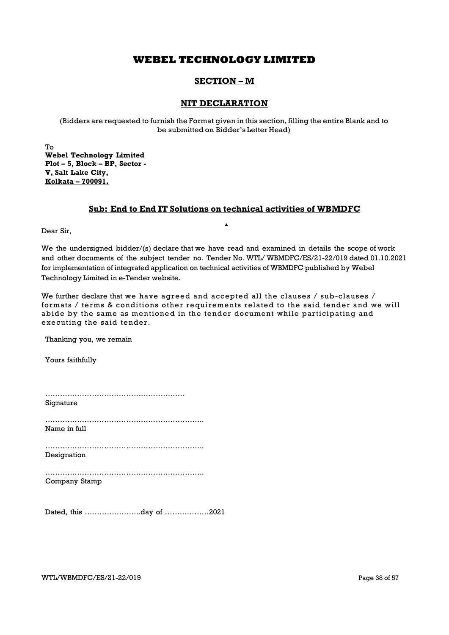## SECTION – M

## NIT DECLARATION

(Bidders are requested to furnish the Format given in this section, filling the entire Blank and to be submitted on Bidder's Letter Head)

To Webel Technology Limited Plot – 5, Block – BP, Sector - V, Salt Lake City, Kolkata – 700091.

## Sub: End to End IT Solutions on technical activities of WBMDFC

.

Dear Sir,

We the undersigned bidder/(s) declare that we have read and examined in details the scope of work and other documents of the subject tender no. Tender No. WTL/ WBMDFC/ES/21-22/019 dated 01.10.2021 for implementation of integrated application on technical activities of WBMDFC published by Webel Technology Limited in e-Tender website.

We further declare that we have agreed and accepted all the clauses  $/$  sub-clauses  $/$ formats / terms & conditions other requirements related to the said tender and we will abide by the same as mentioned in the tender document while participating and executing the said tender.

Thanking you, we remain

Yours faithfully

| Signature     |
|---------------|
| Name in full  |
| Designation   |
| Company Stamp |
|               |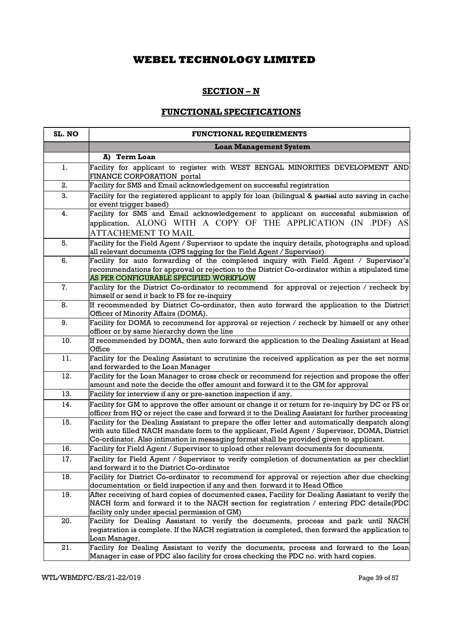## SECTION – N

# FUNCTIONAL SPECIFICATIONS

| SL. NO | <b>FUNCTIONAL REQUIREMENTS</b>                                                                                                                                                                                                                                                              |
|--------|---------------------------------------------------------------------------------------------------------------------------------------------------------------------------------------------------------------------------------------------------------------------------------------------|
|        | <b>Loan Management System</b>                                                                                                                                                                                                                                                               |
|        | A) Term Loan                                                                                                                                                                                                                                                                                |
| 1.     | Facility for applicant to register with WEST BENGAL MINORITIES DEVELOPMENT AND<br>FINANCE CORPORATION portal                                                                                                                                                                                |
| 2.     | Facility for SMS and Email acknowledgement on successful registration                                                                                                                                                                                                                       |
| 3.     | Facility for the registered applicant to apply for loan (bilingual & partial auto saving in cache<br>or event trigger based)                                                                                                                                                                |
| 4.     | Facility for SMS and Email acknowledgement to applicant on successful submission of<br>application. ALONG WITH A COPY OF THE APPLICATION (IN .PDF) AS<br>ATTACHEMENT TO MAIL                                                                                                                |
| 5.     | Facility for the Field Agent / Supervisor to update the inquiry details, photographs and upload<br>all relevant documents (GPS tagging for the Field Agent / Supervisor)                                                                                                                    |
| 6.     | Facility for auto forwarding of the completed inquiry with Field Agent / Supervisor's<br>recommendations for approval or rejection to the District Co-ordinator within a stipulated time<br>AS PER CONFIGURABLE SPECIFIED WORKFLOW                                                          |
| 7.     | Facility for the District Co-ordinator to recommend for approval or rejection / recheck by<br>himself or send it back to FS for re-inquiry                                                                                                                                                  |
| 8.     | If recommended by District Co-ordinator, then auto forward the application to the District<br>Officer of Minority Affairs (DOMA).                                                                                                                                                           |
| 9.     | Facility for DOMA to recommend for approval or rejection / recheck by himself or any other<br>officer or by same hierarchy down the line                                                                                                                                                    |
| 10.    | If recommended by DOMA, then auto forward the application to the Dealing Assistant at Head<br>Office                                                                                                                                                                                        |
| 11.    | Facility for the Dealing Assistant to scrutinize the received application as per the set norms<br>and forwarded to the Loan Manager                                                                                                                                                         |
| 12.    | Facility for the Loan Manager to cross check or recommend for rejection and propose the offer<br>amount and note the decide the offer amount and forward it to the GM for approval                                                                                                          |
| 13.    | Facility for interview if any or pre-sanction inspection if any.                                                                                                                                                                                                                            |
| 14.    | Facility for GM to approve the offer amount or change it or return for re-inquiry by DC or FS or<br>officer from HQ or reject the case and forward it to the Dealing Assistant for further processing                                                                                       |
| 15.    | Facility for the Dealing Assistant to prepare the offer letter and automatically despatch along<br>with auto filled NACH mandate form to the applicant, Field Agent / Supervisor, DOMA, District<br>Co-ordinator. Also intimation in messaging format shall be provided given to applicant. |
| 16.    | Facility for Field Agent / Supervisor to upload other relevant documents for documents.                                                                                                                                                                                                     |
| 17.    | Facility for Field Agent / Supervisor to verify completion of documentation as per checklist<br>and forward it to the District Co-ordinator                                                                                                                                                 |
| 18.    | Facility for District Co-ordinator to recommend for approval or rejection after due checking<br>documentation or field inspection if any and then forward it to Head Office                                                                                                                 |
| 19.    | After receiving of hard copies of documented cases, Facility for Dealing Assistant to verify the<br>NACH form and forward it to the NACH section for registration / entering PDC details(PDC<br>facility only under special permission of GM)                                               |
| 20.    | Facility for Dealing Assistant to verify the documents, process and park until NACH<br>registration is complete. If the NACH registration is completed, then forward the application to<br>Loan Manager.                                                                                    |
| 21.    | Facility for Dealing Assistant to verify the documents, process and forward to the Loan<br>Manager in case of PDC also facility for cross checking the PDC no. with hard copies.                                                                                                            |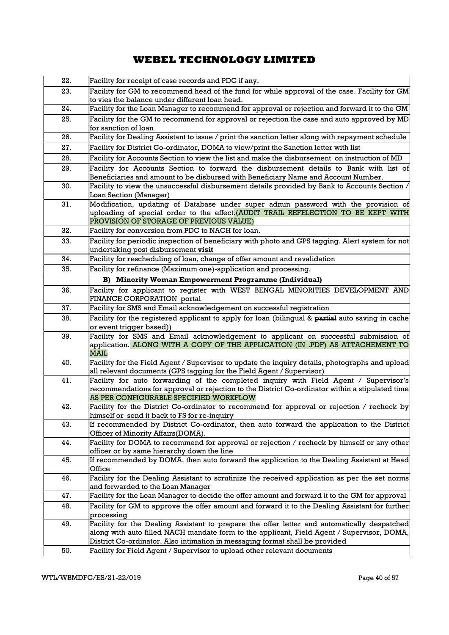| 22. | Facility for receipt of case records and PDC if any.                                                                                                                                                                                                                      |
|-----|---------------------------------------------------------------------------------------------------------------------------------------------------------------------------------------------------------------------------------------------------------------------------|
| 23. | Facility for GM to recommend head of the fund for while approval of the case. Facility for GM                                                                                                                                                                             |
|     | to vies the balance under different loan head.                                                                                                                                                                                                                            |
| 24. | Facility for the Loan Manager to recommend for approval or rejection and forward it to the GM                                                                                                                                                                             |
| 25. | Facility for the GM to recommend for approval or rejection the case and auto approved by MD<br>for sanction of loan                                                                                                                                                       |
| 26. | Facility for Dealing Assistant to issue / print the sanction letter along with repayment schedule                                                                                                                                                                         |
| 27. | Facility for District Co-ordinator, DOMA to view/print the Sanction letter with list                                                                                                                                                                                      |
| 28. | Facility for Accounts Section to view the list and make the disbursement on instruction of MD                                                                                                                                                                             |
| 29. | Facility for Accounts Section to forward the disbursement details to Bank with list of<br>Beneficiaries and amount to be disbursed with Beneficiary Name and Account Number.                                                                                              |
| 30. | Facility to view the unsuccessful disbursement details provided by Bank to Accounts Section /<br>Loan Section (Manager)                                                                                                                                                   |
| 31. | Modification, updating of Database under super admin password with the provision of<br>uploading of special order to the effect.(AUDIT TRAIL REFELECTION TO BE KEPT WITH<br>PROVISION OF STORAGE OF PREVIOUS VALUE)                                                       |
| 32. | Facility for conversion from PDC to NACH for loan.                                                                                                                                                                                                                        |
| 33. | Facility for periodic inspection of beneficiary with photo and GPS tagging. Alert system for not<br>undertaking post disbursement visit                                                                                                                                   |
| 34. | Facility for rescheduling of loan, change of offer amount and revalidation                                                                                                                                                                                                |
| 35. | Facility for refinance (Maximum one)-application and processing.                                                                                                                                                                                                          |
|     | <b>B) Minority Woman Empowerment Programme (Individual)</b>                                                                                                                                                                                                               |
| 36. | Facility for applicant to register with WEST BENGAL MINORITIES DEVELOPMENT AND<br>FINANCE CORPORATION portal                                                                                                                                                              |
| 37. | Facility for SMS and Email acknowledgement on successful registration                                                                                                                                                                                                     |
| 38. | Facility for the registered applicant to apply for loan (bilingual & partial auto saving in cache<br>or event trigger based))                                                                                                                                             |
| 39. | Facility for SMS and Email acknowledgement to applicant on successful submission of<br>application. ALONG WITH A COPY OF THE APPLICATION (IN .PDF) AS ATTACHEMENT TO<br>MAIL                                                                                              |
| 40. | Facility for the Field Agent / Supervisor to update the inquiry details, photographs and upload<br>all relevant documents (GPS tagging for the Field Agent / Supervisor)                                                                                                  |
| 41. | Facility for auto forwarding of the completed inquiry with Field Agent / Supervisor's<br>recommendations for approval or rejection to the District Co-ordinator within a stipulated time<br>AS PER CONFIGURABLE SPECIFIED WORKFLOW                                        |
| 42. | Facility for the District Co-ordinator to recommend for approval or rejection / recheck by<br>himself or send it back to FS for re-inquiry                                                                                                                                |
| 43. | If recommended by District Co-ordinator, then auto forward the application to the District<br>Officer of Minority Affairs(DOMA).                                                                                                                                          |
| 44. | Facility for DOMA to recommend for approval or rejection / recheck by himself or any other<br>officer or by same hierarchy down the line                                                                                                                                  |
| 45. | If recommended by DOMA, then auto forward the application to the Dealing Assistant at Head<br>Office                                                                                                                                                                      |
| 46. | Facility for the Dealing Assistant to scrutinize the received application as per the set norms<br>and forwarded to the Loan Manager                                                                                                                                       |
| 47. | Facility for the Loan Manager to decide the offer amount and forward it to the GM for approval                                                                                                                                                                            |
| 48. | Facility for GM to approve the offer amount and forward it to the Dealing Assistant for further<br>processing                                                                                                                                                             |
| 49. | Facility for the Dealing Assistant to prepare the offer letter and automatically despatched<br>along with auto filled NACH mandate form to the applicant, Field Agent / Supervisor, DOMA,<br>District Co-ordinator. Also intimation in messaging format shall be provided |
| 50. | Facility for Field Agent / Supervisor to upload other relevant documents                                                                                                                                                                                                  |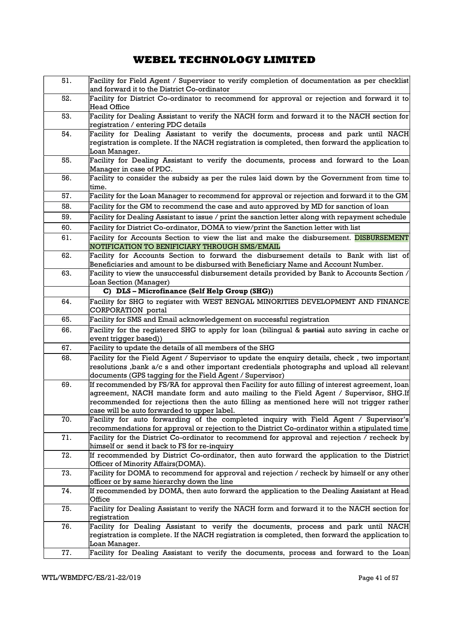| 51. | Facility for Field Agent / Supervisor to verify completion of documentation as per checklist<br>and forward it to the District Co-ordinator                                                                                                                                                                                           |
|-----|---------------------------------------------------------------------------------------------------------------------------------------------------------------------------------------------------------------------------------------------------------------------------------------------------------------------------------------|
| 52. | Facility for District Co-ordinator to recommend for approval or rejection and forward it to<br><b>Head Office</b>                                                                                                                                                                                                                     |
| 53. | Facility for Dealing Assistant to verify the NACH form and forward it to the NACH section for<br>registration / entering PDC details                                                                                                                                                                                                  |
| 54. | Facility for Dealing Assistant to verify the documents, process and park until NACH<br>registration is complete. If the NACH registration is completed, then forward the application to                                                                                                                                               |
| 55. | Loan Manager.<br>Facility for Dealing Assistant to verify the documents, process and forward to the Loan<br>Manager in case of PDC.                                                                                                                                                                                                   |
| 56. | Facility to consider the subsidy as per the rules laid down by the Government from time to<br>time.                                                                                                                                                                                                                                   |
| 57. | Facility for the Loan Manager to recommend for approval or rejection and forward it to the GM                                                                                                                                                                                                                                         |
| 58. | Facility for the GM to recommend the case and auto approved by MD for sanction of loan                                                                                                                                                                                                                                                |
| 59. | Facility for Dealing Assistant to issue / print the sanction letter along with repayment schedule                                                                                                                                                                                                                                     |
| 60. | Facility for District Co-ordinator, DOMA to view/print the Sanction letter with list                                                                                                                                                                                                                                                  |
|     |                                                                                                                                                                                                                                                                                                                                       |
| 61. | Facility for Accounts Section to view the list and make the disbursement. DISBURSEMENT<br>NOTIFICATION TO BENIFICIARY THROUGH SMS/EMAIL                                                                                                                                                                                               |
| 62. | Facility for Accounts Section to forward the disbursement details to Bank with list of<br>Beneficiaries and amount to be disbursed with Beneficiary Name and Account Number.                                                                                                                                                          |
| 63. | Facility to view the unsuccessful disbursement details provided by Bank to Accounts Section /<br>Loan Section (Manager)                                                                                                                                                                                                               |
|     | C) DLS-Microfinance (Self Help Group (SHG))                                                                                                                                                                                                                                                                                           |
| 64. | Facility for SHG to register with WEST BENGAL MINORITIES DEVELOPMENT AND FINANCE<br><b>CORPORATION</b> portal                                                                                                                                                                                                                         |
| 65. | Facility for SMS and Email acknowledgement on successful registration                                                                                                                                                                                                                                                                 |
| 66. | Facility for the registered SHG to apply for loan (bilingual & partial auto saving in cache or<br>event trigger based))                                                                                                                                                                                                               |
| 67. | Facility to update the details of all members of the SHG                                                                                                                                                                                                                                                                              |
| 68. | Facility for the Field Agent / Supervisor to update the enquiry details, check, two important<br>resolutions , bank a/c s and other important credentials photographs and upload all relevant<br>documents (GPS tagging for the Field Agent / Supervisor)                                                                             |
| 69. | If recommended by FS/RA for approval then Facility for auto filling of interest agreement, loan<br>agreement, NACH mandate form and auto mailing to the Field Agent / Supervisor, SHG.If<br>recommended for rejections then the auto filling as mentioned here will not trigger rather<br>case will be auto forwarded to upper label. |
| 70. | Facility for auto forwarding of the completed inquiry with Field Agent / Supervisor's<br>recommendations for approval or rejection to the District Co-ordinator within a stipulated time                                                                                                                                              |
| 71. | Facility for the District Co-ordinator to recommend for approval and rejection / recheck by<br>himself or send it back to FS for re-inquiry                                                                                                                                                                                           |
| 72. | If recommended by District Co-ordinator, then auto forward the application to the District<br>Officer of Minority Affairs(DOMA).                                                                                                                                                                                                      |
| 73. | Facility for DOMA to recommend for approval and rejection / recheck by himself or any other<br>officer or by same hierarchy down the line                                                                                                                                                                                             |
| 74. | If recommended by DOMA, then auto forward the application to the Dealing Assistant at Head<br>Office                                                                                                                                                                                                                                  |
| 75. | Facility for Dealing Assistant to verify the NACH form and forward it to the NACH section for<br>registration                                                                                                                                                                                                                         |
| 76. | Facility for Dealing Assistant to verify the documents, process and park until NACH<br>registration is complete. If the NACH registration is completed, then forward the application to<br>Loan Manager.                                                                                                                              |
| 77. | Facility for Dealing Assistant to verify the documents, process and forward to the Loan                                                                                                                                                                                                                                               |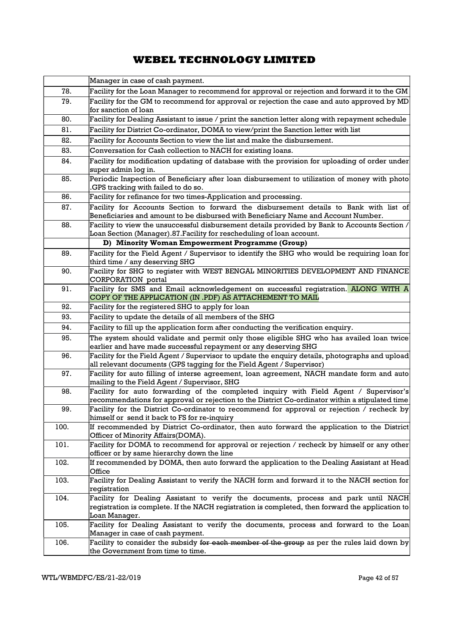|      | Manager in case of cash payment.                                                                                                                                                                         |
|------|----------------------------------------------------------------------------------------------------------------------------------------------------------------------------------------------------------|
| 78.  | Facility for the Loan Manager to recommend for approval or rejection and forward it to the GM                                                                                                            |
| 79.  | Facility for the GM to recommend for approval or rejection the case and auto approved by MD<br>for sanction of loan                                                                                      |
| 80.  | Facility for Dealing Assistant to issue / print the sanction letter along with repayment schedule                                                                                                        |
| 81.  | Facility for District Co-ordinator, DOMA to view/print the Sanction letter with list                                                                                                                     |
| 82.  | Facility for Accounts Section to view the list and make the disbursement.                                                                                                                                |
| 83.  | Conversation for Cash collection to NACH for existing loans.                                                                                                                                             |
| 84.  | Facility for modification updating of database with the provision for uploading of order under<br>super admin log in.                                                                                    |
| 85.  | Periodic Inspection of Beneficiary after loan disbursement to utilization of money with photo<br>GPS tracking with failed to do so.                                                                      |
| 86.  | Facility for refinance for two times-Application and processing.                                                                                                                                         |
| 87.  | Facility for Accounts Section to forward the disbursement details to Bank with list of<br>Beneficiaries and amount to be disbursed with Beneficiary Name and Account Number.                             |
| 88.  | Facility to view the unsuccessful disbursement details provided by Bank to Accounts Section /<br>Loan Section (Manager).87. Facility for rescheduling of loan account.                                   |
|      | D) Minority Woman Empowerment Programme (Group)                                                                                                                                                          |
| 89.  | Facility for the Field Agent / Supervisor to identify the SHG who would be requiring loan for<br>third time / any deserving SHG                                                                          |
| 90.  | Facility for SHG to register with WEST BENGAL MINORITIES DEVELOPMENT AND FINANCE<br>CORPORATION portal                                                                                                   |
| 91.  | Facility for SMS and Email acknowledgement on successful registration. ALONG WITH A<br>COPY OF THE APPLICATION (IN .PDF) AS ATTACHEMENT TO MAIL                                                          |
| 92.  | Facility for the registered SHG to apply for loan                                                                                                                                                        |
| 93.  | Facility to update the details of all members of the SHG                                                                                                                                                 |
| 94.  | Facility to fill up the application form after conducting the verification enquiry.                                                                                                                      |
| 95.  | The system should validate and permit only those eligible SHG who has availed loan twice<br>earlier and have made successful repayment or any deserving SHG                                              |
| 96.  | Facility for the Field Agent / Supervisor to update the enquiry details, photographs and upload<br>all relevant documents (GPS tagging for the Field Agent / Supervisor)                                 |
| 97.  | Facility for auto filling of interse agreement, loan agreement, NACH mandate form and auto<br>mailing to the Field Agent / Supervisor, SHG                                                               |
| 98.  | Facility for auto forwarding of the completed inquiry with Field Agent / Supervisor's<br>recommendations for approval or rejection to the District Co-ordinator within a stipulated time                 |
| 99.  | Facility for the District Co-ordinator to recommend for approval or rejection / recheck by<br>himself or send it back to FS for re-inquiry                                                               |
| 100. | If recommended by District Co-ordinator, then auto forward the application to the District<br>Officer of Minority Affairs(DOMA).                                                                         |
| 101. | Facility for DOMA to recommend for approval or rejection / recheck by himself or any other<br>officer or by same hierarchy down the line                                                                 |
| 102. | If recommended by DOMA, then auto forward the application to the Dealing Assistant at Head<br>Office                                                                                                     |
| 103. | Facility for Dealing Assistant to verify the NACH form and forward it to the NACH section for<br>registration                                                                                            |
| 104. | Facility for Dealing Assistant to verify the documents, process and park until NACH<br>registration is complete. If the NACH registration is completed, then forward the application to<br>Loan Manager. |
| 105. | Facility for Dealing Assistant to verify the documents, process and forward to the Loan<br>Manager in case of cash payment.                                                                              |
| 106. | Facility to consider the subsidy for each member of the group as per the rules laid down by<br>the Government from time to time.                                                                         |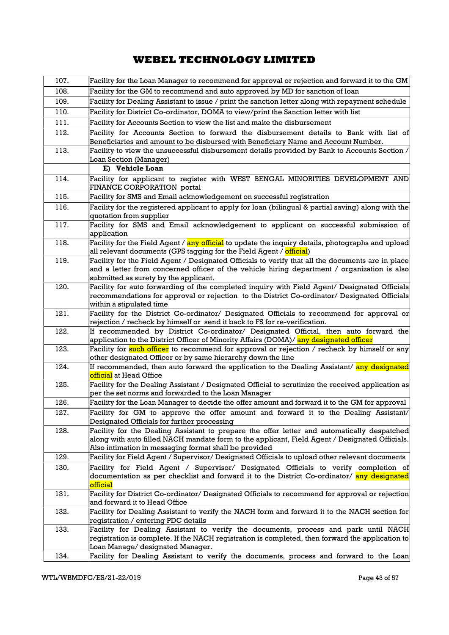| 107. | Facility for the Loan Manager to recommend for approval or rejection and forward it to the GM                                                                                 |
|------|-------------------------------------------------------------------------------------------------------------------------------------------------------------------------------|
| 108. | Facility for the GM to recommend and auto approved by MD for sanction of loan                                                                                                 |
| 109. | Facility for Dealing Assistant to issue / print the sanction letter along with repayment schedule                                                                             |
| 110. | Facility for District Co-ordinator, DOMA to view/print the Sanction letter with list                                                                                          |
| 111. | Facility for Accounts Section to view the list and make the disbursement                                                                                                      |
| 112. | Facility for Accounts Section to forward the disbursement details to Bank with list of                                                                                        |
|      | Beneficiaries and amount to be disbursed with Beneficiary Name and Account Number.                                                                                            |
| 113. | Facility to view the unsuccessful disbursement details provided by Bank to Accounts Section /                                                                                 |
|      | Loan Section (Manager)                                                                                                                                                        |
|      | E) Vehicle Loan                                                                                                                                                               |
| 114. | Facility for applicant to register with WEST BENGAL MINORITIES DEVELOPMENT AND<br>FINANCE CORPORATION portal                                                                  |
| 115. | Facility for SMS and Email acknowledgement on successful registration                                                                                                         |
| 116. | Facility for the registered applicant to apply for loan (bilingual & partial saving) along with the                                                                           |
|      | quotation from supplier                                                                                                                                                       |
| 117. | Facility for SMS and Email acknowledgement to applicant on successful submission of                                                                                           |
| 118. | application                                                                                                                                                                   |
|      | Facility for the Field Agent / any official to update the inquiry details, photographs and upload<br>all relevant documents (GPS tagging for the Field Agent / official)      |
| 119. | Facility for the Field Agent / Designated Officials to verify that all the documents are in place                                                                             |
|      | and a letter from concerned officer of the vehicle hiring department / organization is also                                                                                   |
| 120. | submitted as surety by the applicant.<br>Facility for auto forwarding of the completed inquiry with Field Agent/ Designated Officials                                         |
|      | recommendations for approval or rejection to the District Co-ordinator/ Designated Officials                                                                                  |
|      | within a stipulated time                                                                                                                                                      |
| 121. | Facility for the District Co-ordinator/ Designated Officials to recommend for approval or                                                                                     |
|      | rejection / recheck by himself or send it back to FS for re-verification.                                                                                                     |
| 122. | If recommended by District Co-ordinator/ Designated Official, then auto forward the<br>application to the District Officer of Minority Affairs (DOMA)/ any designated officer |
| 123. | Facility for such officer to recommend for approval or rejection / recheck by himself or any                                                                                  |
|      | other designated Officer or by same hierarchy down the line                                                                                                                   |
| 124. | If recommended, then auto forward the application to the Dealing Assistant/ any designated<br><mark>official</mark> at Head Office                                            |
| 125. | Facility for the Dealing Assistant / Designated Official to scrutinize the received application as                                                                            |
|      | per the set norms and forwarded to the Loan Manager                                                                                                                           |
| 126. | Facility for the Loan Manager to decide the offer amount and forward it to the GM for approval                                                                                |
| 127. | Facility for GM to approve the offer amount and forward it to the Dealing Assistant/<br>Designated Officials for further processing                                           |
| 128. | Facility for the Dealing Assistant to prepare the offer letter and automatically despatched                                                                                   |
|      | along with auto filled NACH mandate form to the applicant, Field Agent / Designated Officials.                                                                                |
|      | Also intimation in messaging format shall be provided                                                                                                                         |
| 129. | Facility for Field Agent / Supervisor/ Designated Officials to upload other relevant documents                                                                                |
| 130. | Facility for Field Agent / Supervisor/ Designated Officials to verify completion of                                                                                           |
|      | documentation as per checklist and forward it to the District Co-ordinator/ any designated<br>official                                                                        |
| 131. | Facility for District Co-ordinator/ Designated Officials to recommend for approval or rejection                                                                               |
|      | and forward it to Head Office                                                                                                                                                 |
| 132. | Facility for Dealing Assistant to verify the NACH form and forward it to the NACH section for<br>registration / entering PDC details                                          |
| 133. | Facility for Dealing Assistant to verify the documents, process and park until NACH                                                                                           |
|      | registration is complete. If the NACH registration is completed, then forward the application to                                                                              |
|      | Loan Manage/ designated Manager.                                                                                                                                              |
| 134. | Facility for Dealing Assistant to verify the documents, process and forward to the Loan                                                                                       |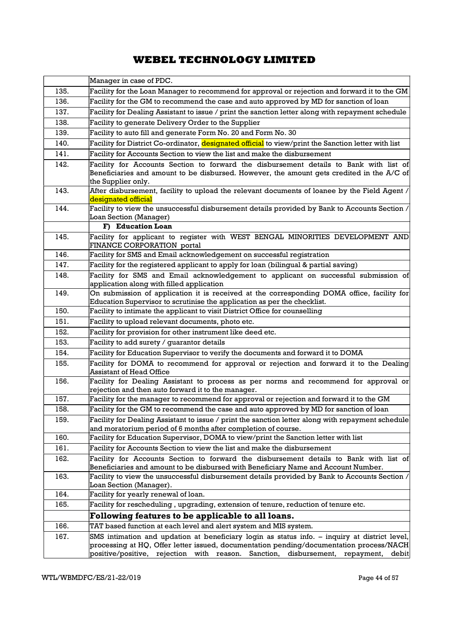|      | Manager in case of PDC.                                                                                                                                                                                                                                                        |
|------|--------------------------------------------------------------------------------------------------------------------------------------------------------------------------------------------------------------------------------------------------------------------------------|
| 135. | Facility for the Loan Manager to recommend for approval or rejection and forward it to the GM                                                                                                                                                                                  |
| 136. | Facility for the GM to recommend the case and auto approved by MD for sanction of loan                                                                                                                                                                                         |
| 137. | Facility for Dealing Assistant to issue / print the sanction letter along with repayment schedule                                                                                                                                                                              |
| 138. | Facility to generate Delivery Order to the Supplier                                                                                                                                                                                                                            |
| 139. | Facility to auto fill and generate Form No. 20 and Form No. 30                                                                                                                                                                                                                 |
| 140. | Facility for District Co-ordinator, designated official to view/print the Sanction letter with list                                                                                                                                                                            |
| 141. | Facility for Accounts Section to view the list and make the disbursement                                                                                                                                                                                                       |
| 142. | Facility for Accounts Section to forward the disbursement details to Bank with list of                                                                                                                                                                                         |
|      | Beneficiaries and amount to be disbursed. However, the amount gets credited in the A/C of                                                                                                                                                                                      |
|      | the Supplier only.                                                                                                                                                                                                                                                             |
| 143. | After disbursement, facility to upload the relevant documents of loanee by the Field Agent /                                                                                                                                                                                   |
|      | <mark>designated official</mark>                                                                                                                                                                                                                                               |
| 144. | Facility to view the unsuccessful disbursement details provided by Bank to Accounts Section /                                                                                                                                                                                  |
|      | Loan Section (Manager)<br>F) Education Loan                                                                                                                                                                                                                                    |
| 145. |                                                                                                                                                                                                                                                                                |
|      | Facility for applicant to register with WEST BENGAL MINORITIES DEVELOPMENT AND<br>FINANCE CORPORATION portal                                                                                                                                                                   |
| 146. | Facility for SMS and Email acknowledgement on successful registration                                                                                                                                                                                                          |
| 147. | Facility for the registered applicant to apply for loan (bilingual & partial saving)                                                                                                                                                                                           |
| 148. | Facility for SMS and Email acknowledgement to applicant on successful submission of                                                                                                                                                                                            |
|      | application along with filled application                                                                                                                                                                                                                                      |
| 149. | On submission of application it is received at the corresponding DOMA office, facility for                                                                                                                                                                                     |
|      | Education Supervisor to scrutinise the application as per the checklist.                                                                                                                                                                                                       |
| 150. | Facility to intimate the applicant to visit District Office for counselling                                                                                                                                                                                                    |
| 151. | Facility to upload relevant documents, photo etc.                                                                                                                                                                                                                              |
| 152. | Facility for provision for other instrument like deed etc.                                                                                                                                                                                                                     |
| 153. | Facility to add surety / guarantor details                                                                                                                                                                                                                                     |
| 154. | Facility for Education Supervisor to verify the documents and forward it to DOMA                                                                                                                                                                                               |
| 155. | Facility for DOMA to recommend for approval or rejection and forward it to the Dealing<br><b>Assistant of Head Office</b>                                                                                                                                                      |
| 156. | Facility for Dealing Assistant to process as per norms and recommend for approval or<br>rejection and then auto forward it to the manager.                                                                                                                                     |
| 157. | Facility for the manager to recommend for approval or rejection and forward it to the GM                                                                                                                                                                                       |
| 158. | Facility for the GM to recommend the case and auto approved by MD for sanction of loan                                                                                                                                                                                         |
| 159. | Facility for Dealing Assistant to issue / print the sanction letter along with repayment schedule                                                                                                                                                                              |
|      | and moratorium period of 6 months after completion of course.                                                                                                                                                                                                                  |
| 160. | Facility for Education Supervisor, DOMA to view/print the Sanction letter with list                                                                                                                                                                                            |
| 161. | Facility for Accounts Section to view the list and make the disbursement                                                                                                                                                                                                       |
| 162. | Facility for Accounts Section to forward the disbursement details to Bank with list of<br>Beneficiaries and amount to be disbursed with Beneficiary Name and Account Number.                                                                                                   |
| 163. | Facility to view the unsuccessful disbursement details provided by Bank to Accounts Section /                                                                                                                                                                                  |
|      | Loan Section (Manager).                                                                                                                                                                                                                                                        |
| 164. | Facility for yearly renewal of loan.                                                                                                                                                                                                                                           |
| 165. | Facility for rescheduling, upgrading, extension of tenure, reduction of tenure etc.                                                                                                                                                                                            |
|      | Following features to be applicable to all loans.                                                                                                                                                                                                                              |
| 166. | TAT based function at each level and alert system and MIS system.                                                                                                                                                                                                              |
| 167. | SMS intimation and updation at beneficiary login as status info. - inquiry at district level,<br>processing at HQ, Offer letter issued, documentation pending/documentation process/NACH<br>positive/positive, rejection with reason. Sanction, disbursement, repayment, debit |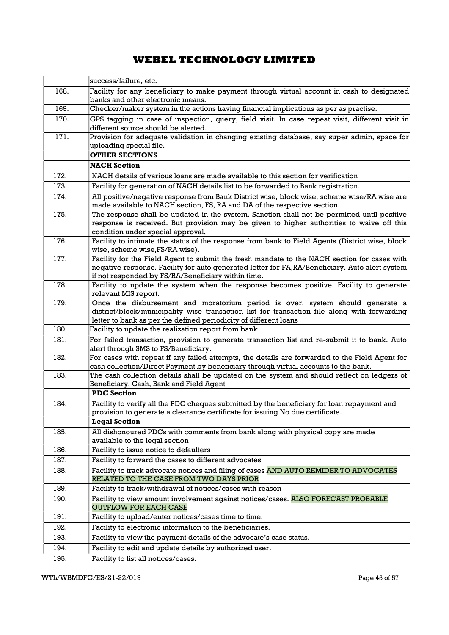|      | success/failure, etc.                                                                                                                                                                                                                               |
|------|-----------------------------------------------------------------------------------------------------------------------------------------------------------------------------------------------------------------------------------------------------|
| 168. | Facility for any beneficiary to make payment through virtual account in cash to designated<br>banks and other electronic means.                                                                                                                     |
| 169. | Checker/maker system in the actions having financial implications as per as practise.                                                                                                                                                               |
| 170. | GPS tagging in case of inspection, query, field visit. In case repeat visit, different visit in<br>different source should be alerted.                                                                                                              |
| 171. | Provision for adequate validation in changing existing database, say super admin, space for<br>uploading special file.                                                                                                                              |
|      | <b>OTHER SECTIONS</b>                                                                                                                                                                                                                               |
|      | <b>NACH</b> Section                                                                                                                                                                                                                                 |
| 172. | NACH details of various loans are made available to this section for verification                                                                                                                                                                   |
| 173. | Facility for generation of NACH details list to be forwarded to Bank registration.                                                                                                                                                                  |
| 174. | All positive/negative response from Bank District wise, block wise, scheme wise/RA wise are<br>made available to NACH section, FS, RA and DA of the respective section.                                                                             |
| 175. | The response shall be updated in the system. Sanction shall not be permitted until positive<br>response is received. But provision may be given to higher authorities to waive off this<br>condition under special approval,                        |
| 176. | Facility to intimate the status of the response from bank to Field Agents (District wise, block<br>wise, scheme wise, FS/RA wise).                                                                                                                  |
| 177. | Facility for the Field Agent to submit the fresh mandate to the NACH section for cases with<br>negative response. Facility for auto generated letter for FA,RA/Beneficiary. Auto alert system<br>if not responded by FS/RA/Beneficiary within time. |
| 178. | Facility to update the system when the response becomes positive. Facility to generate<br>relevant MIS report.                                                                                                                                      |
| 179. | Once the disbursement and moratorium period is over, system should generate a<br>district/block/municipality wise transaction list for transaction file along with forwarding<br>letter to bank as per the defined periodicity of different loans   |
| 180. | Facility to update the realization report from bank                                                                                                                                                                                                 |
| 181. | For failed transaction, provision to generate transaction list and re-submit it to bank. Auto<br>alert through SMS to FS/Beneficiary.                                                                                                               |
| 182. | For cases with repeat if any failed attempts, the details are forwarded to the Field Agent for<br>cash collection/Direct Payment by beneficiary through virtual accounts to the bank.                                                               |
| 183. | The cash collection details shall be updated on the system and should reflect on ledgers of<br>Beneficiary, Cash, Bank and Field Agent                                                                                                              |
|      | <b>PDC</b> Section                                                                                                                                                                                                                                  |
| 184. | Facility to verify all the PDC cheques submitted by the beneficiary for loan repayment and<br>provision to generate a clearance certificate for issuing No due certificate.                                                                         |
|      | <b>Legal Section</b>                                                                                                                                                                                                                                |
| 185. | All dishonoured PDCs with comments from bank along with physical copy are made<br>available to the legal section                                                                                                                                    |
| 186. | Facility to issue notice to defaulters                                                                                                                                                                                                              |
| 187. | Facility to forward the cases to different advocates                                                                                                                                                                                                |
| 188. | Facility to track advocate notices and filing of cases AND AUTO REMIDER TO ADVOCATES<br>RELATED TO THE CASE FROM TWO DAYS PRIOR                                                                                                                     |
| 189. | Facility to track/withdrawal of notices/cases with reason                                                                                                                                                                                           |
| 190. | Facility to view amount involvement against notices/cases. ALSO FORECAST PROBABLE<br><b>OUTFLOW FOR EACH CASE</b>                                                                                                                                   |
| 191. | Facility to upload/enter notices/cases time to time.                                                                                                                                                                                                |
| 192. | Facility to electronic information to the beneficiaries.                                                                                                                                                                                            |
| 193. | Facility to view the payment details of the advocate's case status.                                                                                                                                                                                 |
| 194. | Facility to edit and update details by authorized user.                                                                                                                                                                                             |
| 195. | Facility to list all notices/cases.                                                                                                                                                                                                                 |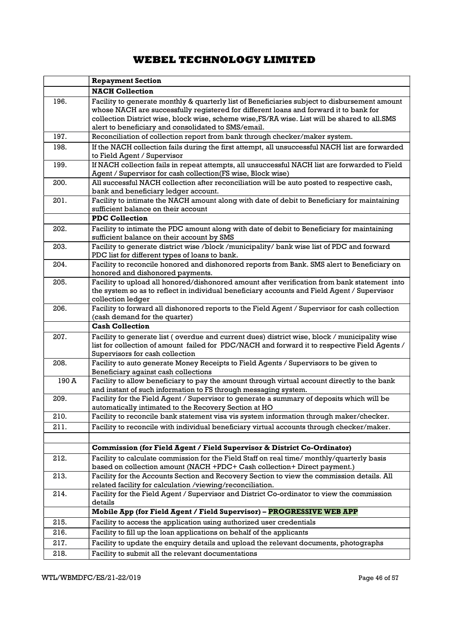|       | <b>Repayment Section</b>                                                                                                                                                                                                                                                                                                                       |
|-------|------------------------------------------------------------------------------------------------------------------------------------------------------------------------------------------------------------------------------------------------------------------------------------------------------------------------------------------------|
|       | <b>NACH Collection</b>                                                                                                                                                                                                                                                                                                                         |
| 196.  | Facility to generate monthly & quarterly list of Beneficiaries subject to disbursement amount<br>whose NACH are successfully registered for different loans and forward it to bank for<br>collection District wise, block wise, scheme wise, FS/RA wise. List will be shared to all.SMS<br>alert to beneficiary and consolidated to SMS/email. |
| 197.  | Reconciliation of collection report from bank through checker/maker system.                                                                                                                                                                                                                                                                    |
| 198.  | If the NACH collection fails during the first attempt, all unsuccessful NACH list are forwarded<br>to Field Agent / Supervisor                                                                                                                                                                                                                 |
| 199.  | If NACH collection fails in repeat attempts, all unsuccessful NACH list are forwarded to Field<br>Agent / Supervisor for cash collection(FS wise, Block wise)                                                                                                                                                                                  |
| 200.  | All successful NACH collection after reconciliation will be auto posted to respective cash,<br>bank and beneficiary ledger account.                                                                                                                                                                                                            |
| 201.  | Facility to intimate the NACH amount along with date of debit to Beneficiary for maintaining<br>sufficient balance on their account                                                                                                                                                                                                            |
|       | <b>PDC Collection</b>                                                                                                                                                                                                                                                                                                                          |
| 202.  | Facility to intimate the PDC amount along with date of debit to Beneficiary for maintaining<br>sufficient balance on their account by SMS                                                                                                                                                                                                      |
| 203.  | Facility to generate district wise /block /municipality/ bank wise list of PDC and forward<br>PDC list for different types of loans to bank.                                                                                                                                                                                                   |
| 204.  | Facility to reconcile honored and dishonored reports from Bank. SMS alert to Beneficiary on<br>honored and dishonored payments.                                                                                                                                                                                                                |
| 205.  | Facility to upload all honored/dishonored amount after verification from bank statement into<br>the system so as to reflect in individual beneficiary accounts and Field Agent / Supervisor<br>collection ledger                                                                                                                               |
| 206.  | Facility to forward all dishonored reports to the Field Agent / Supervisor for cash collection<br>(cash demand for the quarter)                                                                                                                                                                                                                |
|       | <b>Cash Collection</b>                                                                                                                                                                                                                                                                                                                         |
| 207.  | Facility to generate list (overdue and current dues) district wise, block / municipality wise<br>list for collection of amount failed for PDC/NACH and forward it to respective Field Agents /<br>Supervisors for cash collection                                                                                                              |
| 208.  | Facility to auto generate Money Receipts to Field Agents / Supervisors to be given to<br>Beneficiary against cash collections                                                                                                                                                                                                                  |
| 190 A | Facility to allow beneficiary to pay the amount through virtual account directly to the bank<br>and instant of such information to FS through messaging system.                                                                                                                                                                                |
| 209.  | Facility for the Field Agent / Supervisor to generate a summary of deposits which will be<br>automatically intimated to the Recovery Section at HO                                                                                                                                                                                             |
| 210.  | Facility to reconcile bank statement visa vis system information through maker/checker.                                                                                                                                                                                                                                                        |
| 211.  | Facility to reconcile with individual beneficiary virtual accounts through checker/maker.                                                                                                                                                                                                                                                      |
|       | Commission (for Field Agent / Field Supervisor & District Co-Ordinator)                                                                                                                                                                                                                                                                        |
| 212.  | Facility to calculate commission for the Field Staff on real time/monthly/quarterly basis<br>based on collection amount (NACH +PDC+ Cash collection+ Direct payment.)                                                                                                                                                                          |
| 213.  | Facility for the Accounts Section and Recovery Section to view the commission details. All<br>related facility for calculation /viewing/reconciliation.                                                                                                                                                                                        |
| 214.  | Facility for the Field Agent / Supervisor and District Co-ordinator to view the commission<br>details                                                                                                                                                                                                                                          |
|       | Mobile App (for Field Agent / Field Supervisor) - PROGRESSIVE WEB APP                                                                                                                                                                                                                                                                          |
| 215.  | Facility to access the application using authorized user credentials                                                                                                                                                                                                                                                                           |
| 216.  | Facility to fill up the loan applications on behalf of the applicants                                                                                                                                                                                                                                                                          |
| 217.  | Facility to update the enquiry details and upload the relevant documents, photographs                                                                                                                                                                                                                                                          |
| 218.  | Facility to submit all the relevant documentations                                                                                                                                                                                                                                                                                             |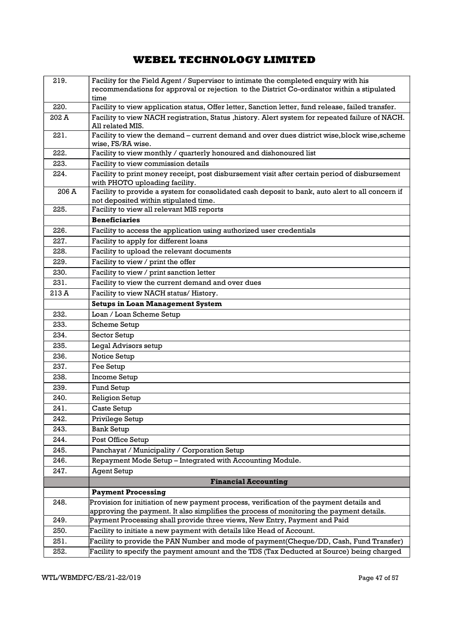| 219.  | Facility for the Field Agent / Supervisor to intimate the completed enquiry with his                                                      |
|-------|-------------------------------------------------------------------------------------------------------------------------------------------|
|       | recommendations for approval or rejection to the District Co-ordinator within a stipulated<br>time                                        |
| 220.  | Facility to view application status, Offer letter, Sanction letter, fund release, failed transfer.                                        |
| 202 A | Facility to view NACH registration, Status , history. Alert system for repeated failure of NACH.<br>All related MIS.                      |
| 221.  | Facility to view the demand – current demand and over dues district wise, block wise, scheme<br>wise, FS/RA wise.                         |
| 222.  | Facility to view monthly / quarterly honoured and dishonoured list                                                                        |
| 223.  | Facility to view commission details                                                                                                       |
| 224.  | Facility to print money receipt, post disbursement visit after certain period of disbursement<br>with PHOTO uploading facility.           |
| 206 A | Facility to provide a system for consolidated cash deposit to bank, auto alert to all concern if<br>not deposited within stipulated time. |
| 225.  | Facility to view all relevant MIS reports                                                                                                 |
|       | <b>Beneficiaries</b>                                                                                                                      |
| 226.  | Facility to access the application using authorized user credentials                                                                      |
| 227.  | Facility to apply for different loans                                                                                                     |
| 228.  | Facility to upload the relevant documents                                                                                                 |
| 229.  | Facility to view / print the offer                                                                                                        |
| 230.  | Facility to view / print sanction letter                                                                                                  |
| 231.  | Facility to view the current demand and over dues                                                                                         |
| 213 A | Facility to view NACH status/History.                                                                                                     |
|       | <b>Setups in Loan Management System</b>                                                                                                   |
| 232.  | Loan / Loan Scheme Setup                                                                                                                  |
| 233.  | Scheme Setup                                                                                                                              |
| 234.  | Sector Setup                                                                                                                              |
| 235.  | Legal Advisors setup                                                                                                                      |
| 236.  | Notice Setup                                                                                                                              |
| 237.  | Fee Setup                                                                                                                                 |
| 238.  | Income Setup                                                                                                                              |
| 239.  | Fund Setup                                                                                                                                |
| 240.  | <b>Religion Setup</b>                                                                                                                     |
| 241.  | Caste Setup                                                                                                                               |
| 242.  | Privilege Setup                                                                                                                           |
| 243.  | <b>Bank Setup</b>                                                                                                                         |
| 244.  | Post Office Setup                                                                                                                         |
| 245.  | Panchayat / Municipality / Corporation Setup                                                                                              |
| 246.  | Repayment Mode Setup - Integrated with Accounting Module.                                                                                 |
| 247.  | <b>Agent Setup</b>                                                                                                                        |
|       | <b>Financial Accounting</b>                                                                                                               |
|       | <b>Payment Processing</b>                                                                                                                 |
| 248.  | Provision for initiation of new payment process, verification of the payment details and                                                  |
|       | approving the payment. It also simplifies the process of monitoring the payment details.                                                  |
| 249.  | Payment Processing shall provide three views, New Entry, Payment and Paid                                                                 |
| 250.  | Facility to initiate a new payment with details like Head of Account.                                                                     |
| 251.  | Facility to provide the PAN Number and mode of payment(Cheque/DD, Cash, Fund Transfer)                                                    |
| 252.  | Facility to specify the payment amount and the TDS (Tax Deducted at Source) being charged                                                 |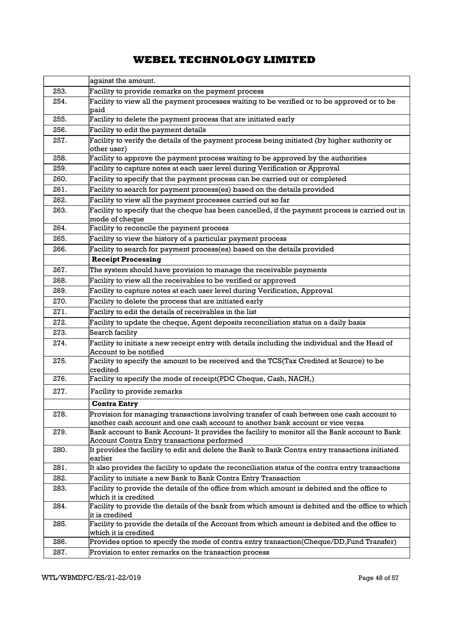|      | against the amount.                                                                                                                                                           |
|------|-------------------------------------------------------------------------------------------------------------------------------------------------------------------------------|
| 253. | Facility to provide remarks on the payment process                                                                                                                            |
| 254. | Facility to view all the payment processes waiting to be verified or to be approved or to be<br>paid                                                                          |
| 255. | Facility to delete the payment process that are initiated early                                                                                                               |
| 256. | Facility to edit the payment details                                                                                                                                          |
| 257. | Facility to verify the details of the payment process being initiated (by higher authority or<br>other user)                                                                  |
| 258. | Facility to approve the payment process waiting to be approved by the authorities                                                                                             |
| 259. | Facility to capture notes at each user level during Verification or Approval                                                                                                  |
| 260. | Facility to specify that the payment process can be carried out or completed                                                                                                  |
| 261. | Facility to search for payment process(es) based on the details provided                                                                                                      |
| 262. | Facility to view all the payment processes carried out so far                                                                                                                 |
| 263. | Facility to specify that the cheque has been cancelled, if the payment process is carried out in<br>mode of cheque                                                            |
| 264. | Facility to reconcile the payment process                                                                                                                                     |
| 265. | Facility to view the history of a particular payment process                                                                                                                  |
| 266. | Facility to search for payment process(es) based on the details provided                                                                                                      |
|      | <b>Receipt Processing</b>                                                                                                                                                     |
| 267. | The system should have provision to manage the receivable payments                                                                                                            |
| 268. | Facility to view all the receivables to be verified or approved                                                                                                               |
| 269. | Facility to capture notes at each user level during Verification, Approval                                                                                                    |
| 270. | Facility to delete the process that are initiated early                                                                                                                       |
| 271. | Facility to edit the details of receivables in the list                                                                                                                       |
| 272. | Facility to update the cheque, Agent deposits reconciliation status on a daily basis                                                                                          |
| 273. | Search facility                                                                                                                                                               |
| 274. | Facility to initiate a new receipt entry with details including the individual and the Head of<br>Account to be notified                                                      |
| 275. | Facility to specify the amount to be received and the TCS(Tax Credited at Source) to be<br>credited                                                                           |
| 276. | Facility to specify the mode of receipt(PDC Cheque, Cash, NACH,)                                                                                                              |
| 277. | Facility to provide remarks                                                                                                                                                   |
|      | <b>Contra Entry</b>                                                                                                                                                           |
| 278. | Provision for managing transactions involving transfer of cash between one cash account to<br>another cash account and one cash account to another bank account or vice versa |
| 279. | Bank account to Bank Account- It provides the facility to monitor all the Bank account to Bank<br>Account Contra Entry transactions performed                                 |
| 280. | It provides the facility to edit and delete the Bank to Bank Contra entry transactions initiated<br>earlier                                                                   |
| 281. | It also provides the facility to update the reconciliation status of the contra entry transactions                                                                            |
| 282. | Facility to initiate a new Bank to Bank Contra Entry Transaction                                                                                                              |
| 283. | Facility to provide the details of the office from which amount is debited and the office to<br>which it is credited                                                          |
| 284. | Facility to provide the details of the bank from which amount is debited and the office to which<br>it is credited                                                            |
| 285. | Facility to provide the details of the Account from which amount is debited and the office to<br>which it is credited                                                         |
| 286. | Provides option to specify the mode of contra entry transaction(Cheque/DD,Fund Transfer)                                                                                      |
| 287. | Provision to enter remarks on the transaction process                                                                                                                         |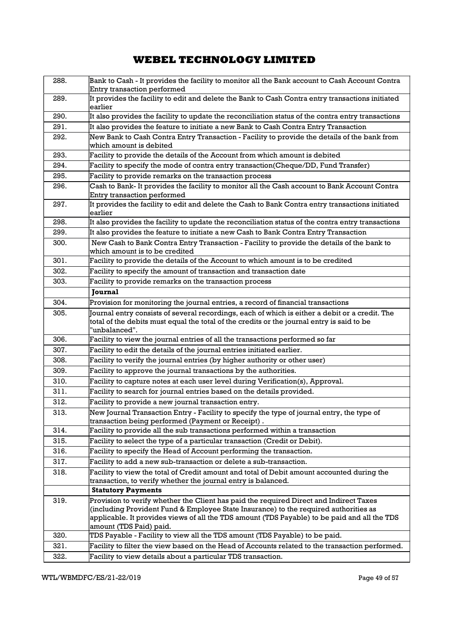| 288. | Bank to Cash - It provides the facility to monitor all the Bank account to Cash Account Contra<br>Entry transaction performed                   |
|------|-------------------------------------------------------------------------------------------------------------------------------------------------|
| 289. | It provides the facility to edit and delete the Bank to Cash Contra entry transactions initiated                                                |
| 290. | earlier<br>It also provides the facility to update the reconciliation status of the contra entry transactions                                   |
| 291. | It also provides the feature to initiate a new Bank to Cash Contra Entry Transaction                                                            |
| 292. | New Bank to Cash Contra Entry Transaction - Facility to provide the details of the bank from                                                    |
|      | which amount is debited                                                                                                                         |
| 293. | Facility to provide the details of the Account from which amount is debited                                                                     |
| 294. | Facility to specify the mode of contra entry transaction(Cheque/DD, Fund Transfer)                                                              |
| 295. | Facility to provide remarks on the transaction process                                                                                          |
| 296. | Cash to Bank- It provides the facility to monitor all the Cash account to Bank Account Contra<br>Entry transaction performed                    |
| 297. | It provides the facility to edit and delete the Cash to Bank Contra entry transactions initiated<br>earlier                                     |
| 298. | It also provides the facility to update the reconciliation status of the contra entry transactions                                              |
| 299. | It also provides the feature to initiate a new Cash to Bank Contra Entry Transaction                                                            |
| 300. | New Cash to Bank Contra Entry Transaction - Facility to provide the details of the bank to<br>which amount is to be credited                    |
| 301. | Facility to provide the details of the Account to which amount is to be credited                                                                |
| 302. | Facility to specify the amount of transaction and transaction date                                                                              |
| 303. | Facility to provide remarks on the transaction process                                                                                          |
|      | Journal                                                                                                                                         |
| 304. | Provision for monitoring the journal entries, a record of financial transactions                                                                |
| 305. | Journal entry consists of several recordings, each of which is either a debit or a credit. The                                                  |
|      | total of the debits must equal the total of the credits or the journal entry is said to be<br>"unbalanced".                                     |
| 306. | Facility to view the journal entries of all the transactions performed so far                                                                   |
| 307. | Facility to edit the details of the journal entries initiated earlier.                                                                          |
| 308. | Facility to verify the journal entries (by higher authority or other user)                                                                      |
| 309. | Facility to approve the journal transactions by the authorities.                                                                                |
| 310. | Facility to capture notes at each user level during Verification(s), Approval.                                                                  |
| 311. | Facility to search for journal entries based on the details provided.                                                                           |
| 312. | Facility to provide a new journal transaction entry.                                                                                            |
| 313. | New Journal Transaction Entry - Facility to specify the type of journal entry, the type of<br>transaction being performed (Payment or Receipt). |
| 314. | Facility to provide all the sub transactions performed within a transaction                                                                     |
| 315. | Facility to select the type of a particular transaction (Credit or Debit).                                                                      |
| 316. | Facility to specify the Head of Account performing the transaction.                                                                             |
| 317. | Facility to add a new sub-transaction or delete a sub-transaction.                                                                              |
| 318. | Facility to view the total of Credit amount and total of Debit amount accounted during the                                                      |
|      | transaction, to verify whether the journal entry is balanced.                                                                                   |
|      | <b>Statutory Payments</b>                                                                                                                       |
| 319. | Provision to verify whether the Client has paid the required Direct and Indirect Taxes                                                          |
|      | (including Provident Fund & Employee State Insurance) to the required authorities as                                                            |
|      | applicable. It provides views of all the TDS amount (TDS Payable) to be paid and all the TDS<br>amount (TDS Paid) paid.                         |
| 320. | TDS Payable - Facility to view all the TDS amount (TDS Payable) to be paid.                                                                     |
| 321. | Facility to filter the view based on the Head of Accounts related to the transaction performed.                                                 |
| 322. | Facility to view details about a particular TDS transaction.                                                                                    |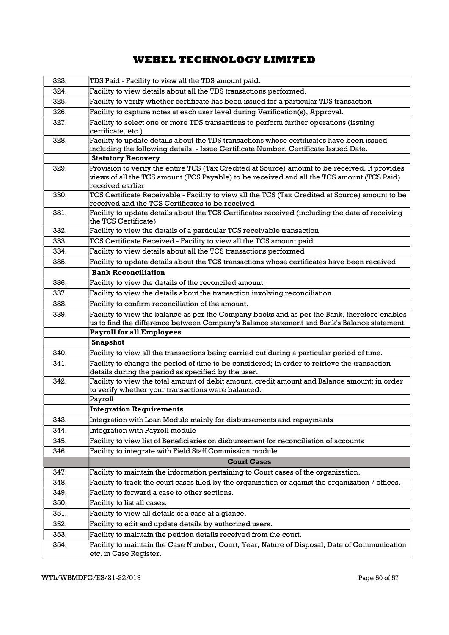| 323. | TDS Paid - Facility to view all the TDS amount paid.                                                                                                                                                             |  |  |
|------|------------------------------------------------------------------------------------------------------------------------------------------------------------------------------------------------------------------|--|--|
| 324. | Facility to view details about all the TDS transactions performed.                                                                                                                                               |  |  |
| 325. | Facility to verify whether certificate has been issued for a particular TDS transaction                                                                                                                          |  |  |
| 326. | Facility to capture notes at each user level during Verification(s), Approval.                                                                                                                                   |  |  |
| 327. | Facility to select one or more TDS transactions to perform further operations (issuing<br>certificate, etc.)                                                                                                     |  |  |
| 328. | Facility to update details about the TDS transactions whose certificates have been issued<br>including the following details, - Issue Certificate Number, Certificate Issued Date.                               |  |  |
|      | <b>Statutory Recovery</b>                                                                                                                                                                                        |  |  |
| 329. | Provision to verify the entire TCS (Tax Credited at Source) amount to be received. It provides<br>views of all the TCS amount (TCS Payable) to be received and all the TCS amount (TCS Paid)<br>received earlier |  |  |
| 330. | TCS Certificate Receivable - Facility to view all the TCS (Tax Credited at Source) amount to be<br>received and the TCS Certificates to be received                                                              |  |  |
| 331. | Facility to update details about the TCS Certificates received (including the date of receiving<br>the TCS Certificate)                                                                                          |  |  |
| 332. | Facility to view the details of a particular TCS receivable transaction                                                                                                                                          |  |  |
| 333. | TCS Certificate Received - Facility to view all the TCS amount paid                                                                                                                                              |  |  |
| 334. | Facility to view details about all the TCS transactions performed                                                                                                                                                |  |  |
| 335. | Facility to update details about the TCS transactions whose certificates have been received                                                                                                                      |  |  |
|      | <b>Bank Reconciliation</b>                                                                                                                                                                                       |  |  |
| 336. | Facility to view the details of the reconciled amount.                                                                                                                                                           |  |  |
| 337. | Facility to view the details about the transaction involving reconciliation.                                                                                                                                     |  |  |
| 338. | Facility to confirm reconciliation of the amount.                                                                                                                                                                |  |  |
| 339. | Facility to view the balance as per the Company books and as per the Bank, therefore enables                                                                                                                     |  |  |
|      | us to find the difference between Company's Balance statement and Bank's Balance statement.                                                                                                                      |  |  |
|      | <b>Payroll for all Employees</b>                                                                                                                                                                                 |  |  |
|      | <b>Snapshot</b>                                                                                                                                                                                                  |  |  |
| 340. | Facility to view all the transactions being carried out during a particular period of time.                                                                                                                      |  |  |
| 341. | Facility to change the period of time to be considered; in order to retrieve the transaction<br>details during the period as specified by the user.                                                              |  |  |
| 342. | Facility to view the total amount of debit amount, credit amount and Balance amount; in order<br>to verify whether your transactions were balanced.                                                              |  |  |
|      | Payroll                                                                                                                                                                                                          |  |  |
|      | <b>Integration Requirements</b>                                                                                                                                                                                  |  |  |
| 343. | Integration with Loan Module mainly for disbursements and repayments                                                                                                                                             |  |  |
| 344. | Integration with Payroll module                                                                                                                                                                                  |  |  |
| 345. | Facility to view list of Beneficiaries on disbursement for reconciliation of accounts                                                                                                                            |  |  |
| 346. | Facility to integrate with Field Staff Commission module                                                                                                                                                         |  |  |
|      | <b>Court Cases</b>                                                                                                                                                                                               |  |  |
| 347. | Facility to maintain the information pertaining to Court cases of the organization.                                                                                                                              |  |  |
| 348. | Facility to track the court cases filed by the organization or against the organization / offices.                                                                                                               |  |  |
| 349. | Facility to forward a case to other sections.                                                                                                                                                                    |  |  |
| 350. | Facility to list all cases.                                                                                                                                                                                      |  |  |
| 351. | Facility to view all details of a case at a glance.                                                                                                                                                              |  |  |
| 352. | Facility to edit and update details by authorized users.                                                                                                                                                         |  |  |
| 353. |                                                                                                                                                                                                                  |  |  |
| 354. | Facility to maintain the petition details received from the court.<br>Facility to maintain the Case Number, Court, Year, Nature of Disposal, Date of Communication                                               |  |  |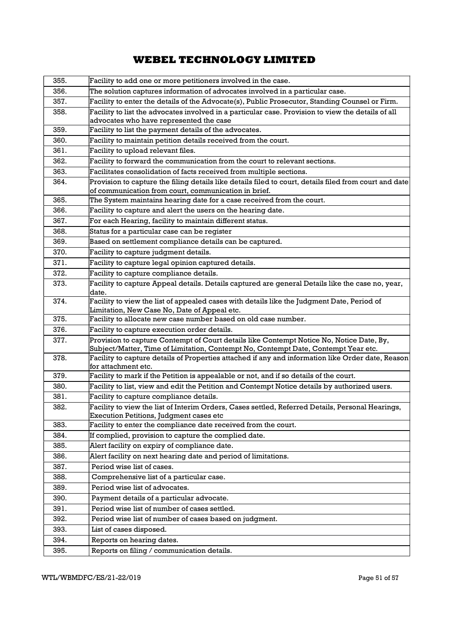| 355. | Facility to add one or more petitioners involved in the case.                                                                                                                  |  |  |
|------|--------------------------------------------------------------------------------------------------------------------------------------------------------------------------------|--|--|
| 356. | The solution captures information of advocates involved in a particular case.                                                                                                  |  |  |
| 357. | Facility to enter the details of the Advocate(s), Public Prosecutor, Standing Counsel or Firm.                                                                                 |  |  |
| 358. | Facility to list the advocates involved in a particular case. Provision to view the details of all                                                                             |  |  |
|      | advocates who have represented the case                                                                                                                                        |  |  |
| 359. | Facility to list the payment details of the advocates.                                                                                                                         |  |  |
| 360. | Facility to maintain petition details received from the court.                                                                                                                 |  |  |
| 361. | Facility to upload relevant files.                                                                                                                                             |  |  |
| 362. | Facility to forward the communication from the court to relevant sections.                                                                                                     |  |  |
| 363. | Facilitates consolidation of facts received from multiple sections.                                                                                                            |  |  |
| 364. | Provision to capture the filing details like details filed to court, details filed from court and date<br>of communication from court, communication in brief.                 |  |  |
| 365. | The System maintains hearing date for a case received from the court.                                                                                                          |  |  |
| 366. | Facility to capture and alert the users on the hearing date.                                                                                                                   |  |  |
| 367. | For each Hearing, facility to maintain different status.                                                                                                                       |  |  |
| 368. | Status for a particular case can be register                                                                                                                                   |  |  |
| 369. | Based on settlement compliance details can be captured.                                                                                                                        |  |  |
| 370. | Facility to capture judgment details.                                                                                                                                          |  |  |
| 371. | Facility to capture legal opinion captured details.                                                                                                                            |  |  |
| 372. | Facility to capture compliance details.                                                                                                                                        |  |  |
| 373. | Facility to capture Appeal details. Details captured are general Details like the case no, year,<br>date.                                                                      |  |  |
| 374. | Facility to view the list of appealed cases with details like the Judgment Date, Period of<br>Limitation, New Case No, Date of Appeal etc.                                     |  |  |
| 375. | Facility to allocate new case number based on old case number.                                                                                                                 |  |  |
| 376. | Facility to capture execution order details.                                                                                                                                   |  |  |
| 377. | Provision to capture Contempt of Court details like Contempt Notice No, Notice Date, By,<br>Subject/Matter, Time of Limitation, Contempt No, Contempt Date, Contempt Year etc. |  |  |
| 378. | Facility to capture details of Properties attached if any and information like Order date, Reason<br>for attachment etc.                                                       |  |  |
| 379. | Facility to mark if the Petition is appealable or not, and if so details of the court.                                                                                         |  |  |
| 380. | Facility to list, view and edit the Petition and Contempt Notice details by authorized users.                                                                                  |  |  |
| 381. | Facility to capture compliance details.                                                                                                                                        |  |  |
| 382. | Facility to view the list of Interim Orders, Cases settled, Referred Details, Personal Hearings,<br>Execution Petitions, Judgment cases etc                                    |  |  |
| 383. | Facility to enter the compliance date received from the court.                                                                                                                 |  |  |
| 384. | If complied, provision to capture the complied date.                                                                                                                           |  |  |
| 385. | Alert facility on expiry of compliance date.                                                                                                                                   |  |  |
| 386. | Alert facility on next hearing date and period of limitations.                                                                                                                 |  |  |
| 387. | Period wise list of cases.                                                                                                                                                     |  |  |
| 388. | Comprehensive list of a particular case.                                                                                                                                       |  |  |
| 389. | Period wise list of advocates.                                                                                                                                                 |  |  |
| 390. | Payment details of a particular advocate.                                                                                                                                      |  |  |
| 391. | Period wise list of number of cases settled.                                                                                                                                   |  |  |
| 392. | Period wise list of number of cases based on judgment.                                                                                                                         |  |  |
| 393. | List of cases disposed.                                                                                                                                                        |  |  |
| 394. | Reports on hearing dates.                                                                                                                                                      |  |  |
| 395. | Reports on filing / communication details.                                                                                                                                     |  |  |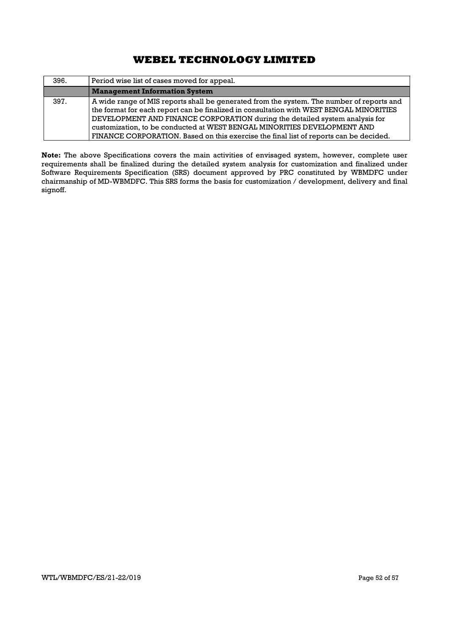| 396. | Period wise list of cases moved for appeal.                                                                                                                                                                                                                                                                                                                                                                                              |
|------|------------------------------------------------------------------------------------------------------------------------------------------------------------------------------------------------------------------------------------------------------------------------------------------------------------------------------------------------------------------------------------------------------------------------------------------|
|      | <b>Management Information System</b>                                                                                                                                                                                                                                                                                                                                                                                                     |
| 397. | A wide range of MIS reports shall be generated from the system. The number of reports and<br>the format for each report can be finalized in consultation with WEST BENGAL MINORITIES<br>DEVELOPMENT AND FINANCE CORPORATION during the detailed system analysis for<br>customization, to be conducted at WEST BENGAL MINORITIES DEVELOPMENT AND<br>FINANCE CORPORATION. Based on this exercise the final list of reports can be decided. |

Note: The above Specifications covers the main activities of envisaged system, however, complete user requirements shall be finalized during the detailed system analysis for customization and finalized under Software Requirements Specification (SRS) document approved by PRC constituted by WBMDFC under chairmanship of MD-WBMDFC. This SRS forms the basis for customization / development, delivery and final signoff.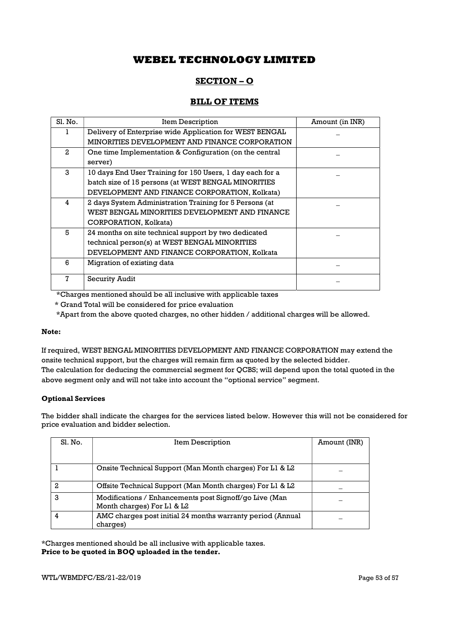## SECTION – O

## BILL OF ITEMS

| Sl. No.         | Item Description                                          | Amount (in INR) |
|-----------------|-----------------------------------------------------------|-----------------|
|                 | Delivery of Enterprise wide Application for WEST BENGAL   |                 |
|                 | MINORITIES DEVELOPMENT AND FINANCE CORPORATION            |                 |
| $\mathcal{D}$   | One time Implementation & Configuration (on the central   |                 |
|                 | server)                                                   |                 |
| 3               | 10 days End User Training for 150 Users, 1 day each for a |                 |
|                 | batch size of 15 persons (at WEST BENGAL MINORITIES       |                 |
|                 | DEVELOPMENT AND FINANCE CORPORATION, Kolkata)             |                 |
| 4               | 2 days System Administration Training for 5 Persons (at   |                 |
|                 | WEST BENGAL MINORITIES DEVELOPMENT AND FINANCE            |                 |
|                 | CORPORATION, Kolkata)                                     |                 |
| 5               | 24 months on site technical support by two dedicated      |                 |
|                 | technical person(s) at WEST BENGAL MINORITIES             |                 |
|                 | DEVELOPMENT AND FINANCE CORPORATION, Kolkata              |                 |
| 6               | Migration of existing data                                |                 |
| $7\phantom{.0}$ | Security Audit                                            |                 |

\*Charges mentioned should be all inclusive with applicable taxes

\* Grand Total will be considered for price evaluation

\*Apart from the above quoted charges, no other hidden / additional charges will be allowed.

### Note:

If required, WEST BENGAL MINORITIES DEVELOPMENT AND FINANCE CORPORATION may extend the onsite technical support, but the charges will remain firm as quoted by the selected bidder. The calculation for deducing the commercial segment for QCBS; will depend upon the total quoted in the above segment only and will not take into account the "optional service" segment.

### Optional Services

The bidder shall indicate the charges for the services listed below. However this will not be considered for price evaluation and bidder selection.

| Sl. No. | Item Description                                                                     | Amount (INR) |
|---------|--------------------------------------------------------------------------------------|--------------|
|         |                                                                                      |              |
|         | Onsite Technical Support (Man Month charges) For L1 & L2                             |              |
| 2       | Offsite Technical Support (Man Month charges) For L1 & L2                            |              |
| 3       | Modifications / Enhancements post Signoff/go Live (Man<br>Month charges) For L1 & L2 |              |
| 4       | AMC charges post initial 24 months warranty period (Annual<br>charges)               |              |

\*Charges mentioned should be all inclusive with applicable taxes. Price to be quoted in BOQ uploaded in the tender.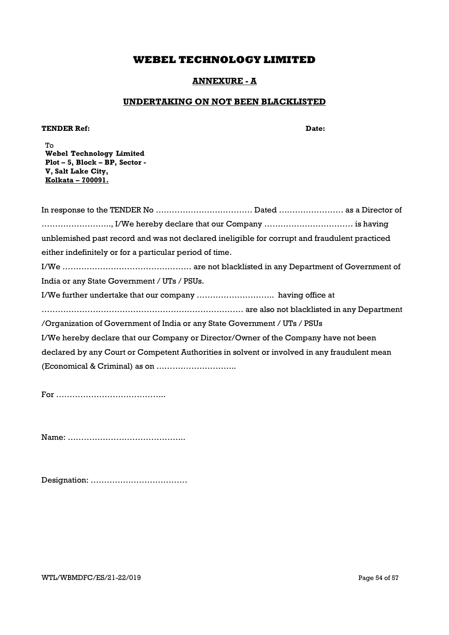## ANNEXURE - A

## UNDERTAKING ON NOT BEEN BLACKLISTED

### TENDER Ref: Date:

To Webel Technology Limited Plot – 5, Block – BP, Sector - V, Salt Lake City, Kolkata – 700091.

In response to the TENDER No ……………………………… Dated …………………… as a Director of …………………….., I/We hereby declare that our Company …………………………… is having unblemished past record and was not declared ineligible for corrupt and fraudulent practiced either indefinitely or for a particular period of time. I/We ………………………………………… are not blacklisted in any Department of Government of India or any State Government / UTs / PSUs. I/We further undertake that our company ……………………….. having office at ………………………………………………………………… are also not blacklisted in any Department /Organization of Government of India or any State Government / UTs / PSUs I/We hereby declare that our Company or Director/Owner of the Company have not been declared by any Court or Competent Authorities in solvent or involved in any fraudulent mean (Economical & Criminal) as on ………………………...

For …………………………………..

Name: ……………………………………..

Designation: ………………………………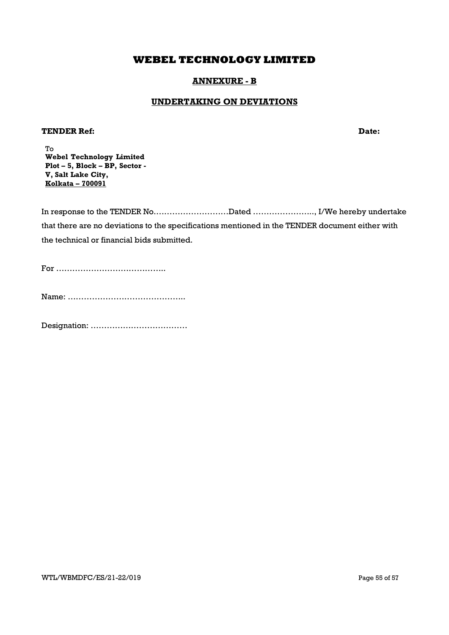## ANNEXURE - B

## UNDERTAKING ON DEVIATIONS

## **TENDER Ref:**  $\qquad \qquad$  Date:

To Webel Technology Limited Plot – 5, Block – BP, Sector - V, Salt Lake City, Kolkata – 700091

In response to the TENDER No.………………………Dated ………………….., I/We hereby undertake that there are no deviations to the specifications mentioned in the TENDER document either with the technical or financial bids submitted.

For …………………………………..

Name: ……………………………………..

Designation: ………………………………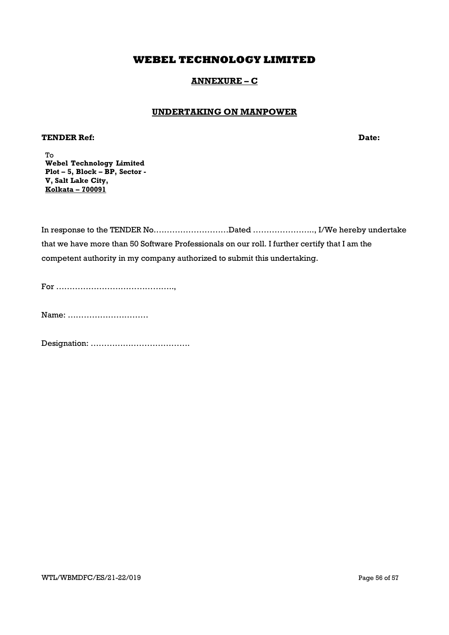## ANNEXURE – C

## UNDERTAKING ON MANPOWER

## **TENDER Ref:**  $\qquad \qquad$  Date:

To Webel Technology Limited Plot – 5, Block – BP, Sector - V, Salt Lake City, Kolkata – 700091

In response to the TENDER No.………………………Dated ………………….., I/We hereby undertake that we have more than 50 Software Professionals on our roll. I further certify that I am the competent authority in my company authorized to submit this undertaking.

For ……………………………………..,

Name: …………………………

Designation: ……………………………….